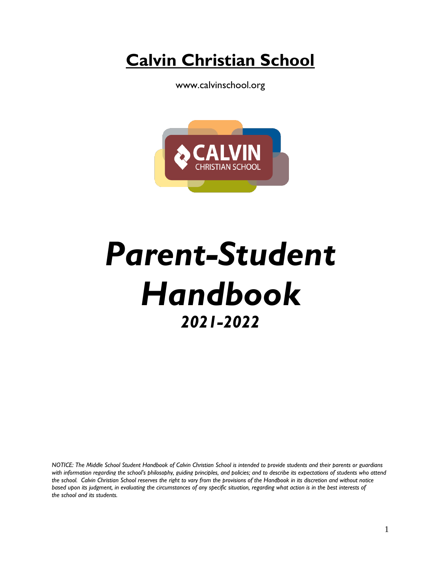**Calvin Christian School**

www.calvinschool.org



# *Parent-Student Handbook 2021-2022*

*NOTICE: The Middle School Student Handbook of Calvin Christian School is intended to provide students and their parents or guardians with information regarding the school's philosophy, guiding principles, and policies; and to describe its expectations of students who attend the school. Calvin Christian School reserves the right to vary from the provisions of the Handbook in its discretion and without notice*  based upon its judgment, in evaluating the circumstances of any specific situation, regarding what action is in the best interests of *the school and its students.*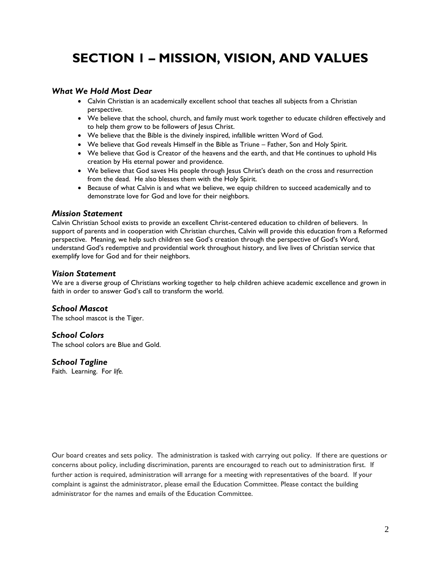# **SECTION 1 – MISSION, VISION, AND VALUES**

### *What We Hold Most Dear*

- Calvin Christian is an academically excellent school that teaches all subjects from a Christian perspective.
- We believe that the school, church, and family must work together to educate children effectively and to help them grow to be followers of Jesus Christ.
- We believe that the Bible is the divinely inspired, infallible written Word of God.
- We believe that God reveals Himself in the Bible as Triune Father, Son and Holy Spirit.
- We believe that God is Creator of the heavens and the earth, and that He continues to uphold His creation by His eternal power and providence.
- We believe that God saves His people through Jesus Christ's death on the cross and resurrection from the dead. He also blesses them with the Holy Spirit.
- Because of what Calvin is and what we believe, we equip children to succeed academically and to demonstrate love for God and love for their neighbors.

#### *Mission Statement*

Calvin Christian School exists to provide an excellent Christ-centered education to children of believers. In support of parents and in cooperation with Christian churches, Calvin will provide this education from a Reformed perspective. Meaning, we help such children see God's creation through the perspective of God's Word, understand God's redemptive and providential work throughout history, and live lives of Christian service that exemplify love for God and for their neighbors.

#### *Vision Statement*

We are a diverse group of Christians working together to help children achieve academic excellence and grown in faith in order to answer God's call to transform the world.

#### *School Mascot*

The school mascot is the Tiger.

#### *School Colors*

The school colors are Blue and Gold.

#### *School Tagline*

Faith. Learning. For *life.*

Our board creates and sets policy. The administration is tasked with carrying out policy. If there are questions or concerns about policy, including discrimination, parents are encouraged to reach out to administration first. If further action is required, administration will arrange for a meeting with representatives of the board. If your complaint is against the administrator, please email the Education Committee. Please contact the building administrator for the names and emails of the Education Committee.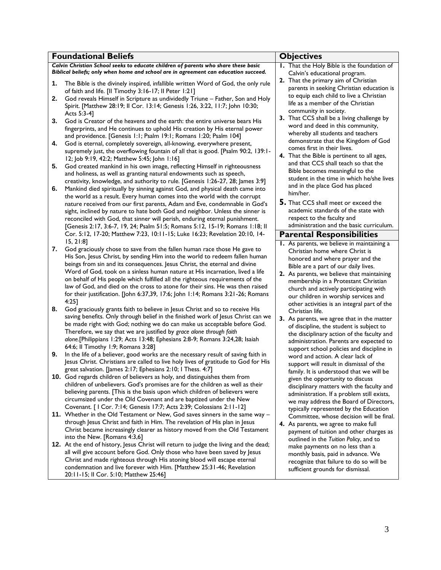| <b>Foundational Beliefs</b> |                                                                                                                                                            |  | <b>Objectives</b>                                                                      |  |  |
|-----------------------------|------------------------------------------------------------------------------------------------------------------------------------------------------------|--|----------------------------------------------------------------------------------------|--|--|
|                             | Calvin Christian School seeks to educate children of parents who share these basic                                                                         |  | I. That the Holy Bible is the foundation of                                            |  |  |
|                             | Biblical beliefs; only when home and school are in agreement can education succeed.                                                                        |  | Calvin's educational program.                                                          |  |  |
| 1.                          | The Bible is the divinely inspired, infallible written Word of God, the only rule                                                                          |  | 2. That the primary aim of Christian                                                   |  |  |
|                             | of faith and life. [II Timothy 3:16-17; II Peter 1:21]                                                                                                     |  | parents in seeking Christian education is                                              |  |  |
| 2.                          | God reveals Himself in Scripture as undividedly Triune - Father, Son and Holy                                                                              |  | to equip each child to live a Christian<br>life as a member of the Christian           |  |  |
|                             | Spirit. [Matthew 28:19; Il Cor. 13:14; Genesis 1:26, 3:22, 11:7; John 10:30;                                                                               |  | community in society.                                                                  |  |  |
|                             | Acts 5:3-4]                                                                                                                                                |  | 3. That CCS shall be a living challenge by                                             |  |  |
| 3.                          | God is Creator of the heavens and the earth: the entire universe bears His<br>fingerprints, and He continues to uphold His creation by His eternal power   |  | word and deed in this community,                                                       |  |  |
|                             | and providence. [Genesis 1:1; Psalm 19:1; Romans 1:20; Psalm 104]                                                                                          |  | whereby all students and teachers                                                      |  |  |
| 4.                          | God is eternal, completely sovereign, all-knowing, everywhere present,                                                                                     |  | demonstrate that the Kingdom of God                                                    |  |  |
|                             | supremely just, the overflowing fountain of all that is good. [Psalm 90:2, 139:1-                                                                          |  | comes first in their lives.                                                            |  |  |
|                             | 12; Job 9:19, 42:2; Matthew 5:45; John 1:16]                                                                                                               |  | 4. That the Bible is pertinent to all ages,                                            |  |  |
| 5.                          | God created mankind in his own image, reflecting Himself in righteousness                                                                                  |  | and that CCS shall teach so that the<br>Bible becomes meaningful to the                |  |  |
|                             | and holiness, as well as granting natural endowments such as speech,                                                                                       |  | student in the time in which he/she lives                                              |  |  |
|                             | creativity, knowledge, and authority to rule. [Genesis 1:26-27, 28; James 3:9]                                                                             |  | and in the place God has placed                                                        |  |  |
| 6.                          | Mankind died spiritually by sinning against God, and physical death came into<br>the world as a result. Every human comes into the world with the corrupt  |  | him/her.                                                                               |  |  |
|                             | nature received from our first parents, Adam and Eve, condemnable in God's                                                                                 |  | 5. That CCS shall meet or exceed the                                                   |  |  |
|                             | sight, inclined by nature to hate both God and neighbor. Unless the sinner is                                                                              |  | academic standards of the state with                                                   |  |  |
|                             | reconciled with God, that sinner will perish, enduring eternal punishment.                                                                                 |  | respect to the faculty and                                                             |  |  |
|                             | [Genesis 2:17, 3:6-7, 19, 24; Psalm 51:5; Romans 5:12, 15-19; Romans 1:18; II                                                                              |  | administration and the basic curriculum.                                               |  |  |
|                             | Cor. 5:12, 17-20; Matthew 7:23, 10:11-15; Luke 16:23; Revelation 20:10, 14-                                                                                |  | <b>Parental Responsibilities</b>                                                       |  |  |
|                             | 15, 21:8                                                                                                                                                   |  | I. As parents, we believe in maintaining a                                             |  |  |
| 7.                          | God graciously chose to save from the fallen human race those He gave to<br>His Son, Jesus Christ, by sending Him into the world to redeem fallen human    |  | Christian home where Christ is                                                         |  |  |
|                             | beings from sin and its consequences. Jesus Christ, the eternal and divine                                                                                 |  | honored and where prayer and the                                                       |  |  |
|                             | Word of God, took on a sinless human nature at His incarnation, lived a life                                                                               |  | Bible are a part of our daily lives.<br>2. As parents, we believe that maintaining     |  |  |
|                             | on behalf of His people which fulfilled all the righteous requirements of the                                                                              |  | membership in a Protestant Christian                                                   |  |  |
|                             | law of God, and died on the cross to atone for their sins. He was then raised                                                                              |  | church and actively participating with                                                 |  |  |
|                             | for their justification. [John 6:37,39, 17:6; John 1:14; Romans 3:21-26; Romans                                                                            |  | our children in worship services and                                                   |  |  |
| 8.                          | 4:251<br>God graciously grants faith to believe in Jesus Christ and so to receive His                                                                      |  | other activities is an integral part of the                                            |  |  |
|                             | saving benefits. Only through belief in the finished work of Jesus Christ can we                                                                           |  | Christian life.                                                                        |  |  |
|                             | be made right with God; nothing we do can make us acceptable before God.                                                                                   |  | 3. As parents, we agree that in the matter<br>of discipline, the student is subject to |  |  |
|                             | Therefore, we say that we are justified by grace alone through faith                                                                                       |  | the disciplinary action of the faculty and                                             |  |  |
|                             | alone.[Philippians 1:29; Acts 13:48; Ephesians 2:8-9; Romans 3:24,28; Isaiah                                                                               |  | administration. Parents are expected to                                                |  |  |
|                             | 64:6; Il Timothy 1:9; Romans 3:28]                                                                                                                         |  | support school policies and discipline in                                              |  |  |
| 9.                          | In the life of a believer, good works are the necessary result of saving faith in                                                                          |  | word and action. A clear lack of                                                       |  |  |
|                             | Jesus Christ. Christians are called to live holy lives of gratitude to God for His<br>great salvation. [James 2:17; Ephesians 2:10; I Thess. 4:7]          |  | support will result in dismissal of the                                                |  |  |
|                             | 10. God regards children of believers as holy, and distinguishes them from                                                                                 |  | family. It is understood that we will be                                               |  |  |
|                             | children of unbelievers. God's promises are for the children as well as their                                                                              |  | given the opportunity to discuss<br>disciplinary matters with the faculty and          |  |  |
|                             | believing parents. [This is the basis upon which children of believers were                                                                                |  | administration. If a problem still exists,                                             |  |  |
|                             | circumsized under the Old Covenant and are baptized under the New                                                                                          |  | we may address the Board of Directors,                                                 |  |  |
|                             | Covenant. [ I Cor. 7:14; Genesis 17:7; Acts 2:39; Colossians 2:11-12]                                                                                      |  | typically represented by the Education                                                 |  |  |
|                             | 11. Whether in the Old Testament or New, God saves sinners in the same way -<br>through Jesus Christ and faith in Him. The revelation of His plan in Jesus |  | Committee, whose decision will be final.                                               |  |  |
|                             | Christ became increasingly clearer as history moved from the Old Testament                                                                                 |  | 4. As parents, we agree to make full                                                   |  |  |
|                             | into the New. [Romans 4:3,6]                                                                                                                               |  | payment of tuition and other charges as<br>outlined in the Tuition Policy, and to      |  |  |
|                             | 12. At the end of history, Jesus Christ will return to judge the living and the dead;                                                                      |  | make payments on no less than a                                                        |  |  |
|                             | all will give account before God. Only those who have been saved by Jesus                                                                                  |  | monthly basis, paid in advance. We                                                     |  |  |
|                             | Christ and made righteous through His atoning blood will escape eternal                                                                                    |  | recognize that failure to do so will be                                                |  |  |
|                             | condemnation and live forever with Him. [Matthew 25:31-46; Revelation                                                                                      |  | sufficient grounds for dismissal.                                                      |  |  |
|                             | 20:11-15; II Cor. 5:10; Matthew 25:46]                                                                                                                     |  |                                                                                        |  |  |
|                             |                                                                                                                                                            |  |                                                                                        |  |  |
|                             |                                                                                                                                                            |  |                                                                                        |  |  |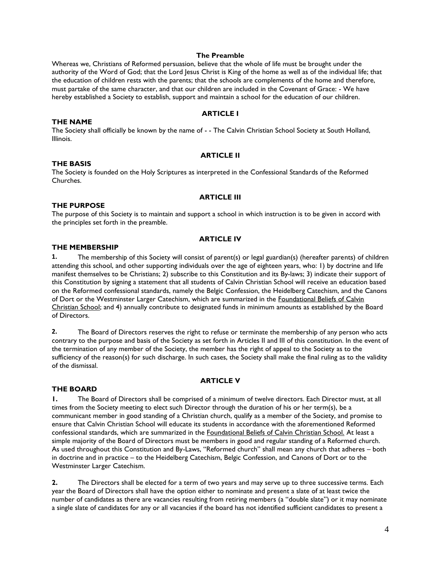#### **The Preamble**

Whereas we, Christians of Reformed persuasion, believe that the whole of life must be brought under the authority of the Word of God; that the Lord Jesus Christ is King of the home as well as of the individual life; that the education of children rests with the parents; that the schools are complements of the home and therefore, must partake of the same character, and that our children are included in the Covenant of Grace: - We have hereby established a Society to establish, support and maintain a school for the education of our children.

#### **ARTICLE I**

#### **THE NAME**

The Society shall officially be known by the name of - - The Calvin Christian School Society at South Holland, Illinois.

#### **ARTICLE II**

#### **THE BASIS**

The Society is founded on the Holy Scriptures as interpreted in the Confessional Standards of the Reformed Churches.

#### **ARTICLE III**

#### **THE PURPOSE**

The purpose of this Society is to maintain and support a school in which instruction is to be given in accord with the principles set forth in the preamble.

#### **ARTICLE IV**

#### **THE MEMBERSHIP**

**1.** The membership of this Society will consist of parent(s) or legal guardian(s) (hereafter parents) of children attending this school, and other supporting individuals over the age of eighteen years, who: 1) by doctrine and life manifest themselves to be Christians; 2) subscribe to this Constitution and its By-laws; 3) indicate their support of this Constitution by signing a statement that all students of Calvin Christian School will receive an education based on the Reformed confessional standards, namely the Belgic Confession, the Heidelberg Catechism, and the Canons of Dort or the Westminster Larger Catechism, which are summarized in the Foundational Beliefs of Calvin Christian School; and 4) annually contribute to designated funds in minimum amounts as established by the Board of Directors.

**2.** The Board of Directors reserves the right to refuse or terminate the membership of any person who acts contrary to the purpose and basis of the Society as set forth in Articles II and III of this constitution. In the event of the termination of any member of the Society, the member has the right of appeal to the Society as to the sufficiency of the reason(s) for such discharge. In such cases, the Society shall make the final ruling as to the validity of the dismissal.

#### **ARTICLE V**

#### **THE BOARD**

**1.** The Board of Directors shall be comprised of a minimum of twelve directors. Each Director must, at all times from the Society meeting to elect such Director through the duration of his or her term(s), be a communicant member in good standing of a Christian church, qualify as a member of the Society, and promise to ensure that Calvin Christian School will educate its students in accordance with the aforementioned Reformed confessional standards, which are summarized in the Foundational Beliefs of Calvin Christian School. At least a simple majority of the Board of Directors must be members in good and regular standing of a Reformed church. As used throughout this Constitution and By-Laws, "Reformed church" shall mean any church that adheres – both in doctrine and in practice – to the Heidelberg Catechism, Belgic Confession, and Canons of Dort or to the Westminster Larger Catechism.

**2.** The Directors shall be elected for a term of two years and may serve up to three successive terms. Each year the Board of Directors shall have the option either to nominate and present a slate of at least twice the number of candidates as there are vacancies resulting from retiring members (a "double slate") or it may nominate a single slate of candidates for any or all vacancies if the board has not identified sufficient candidates to present a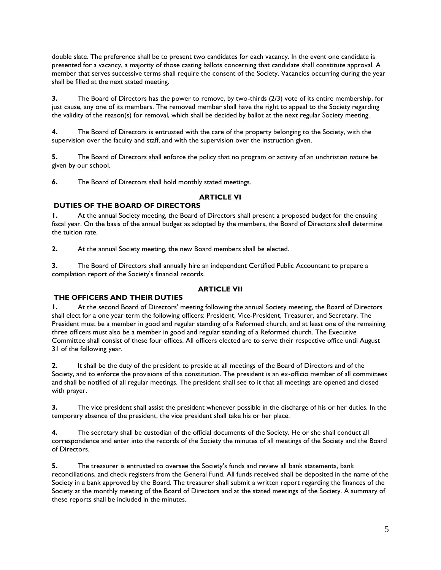double slate. The preference shall be to present two candidates for each vacancy. In the event one candidate is presented for a vacancy, a majority of those casting ballots concerning that candidate shall constitute approval. A member that serves successive terms shall require the consent of the Society. Vacancies occurring during the year shall be filled at the next stated meeting.

**3.** The Board of Directors has the power to remove, by two-thirds (2/3) vote of its entire membership, for just cause, any one of its members. The removed member shall have the right to appeal to the Society regarding the validity of the reason(s) for removal, which shall be decided by ballot at the next regular Society meeting.

**4.** The Board of Directors is entrusted with the care of the property belonging to the Society, with the supervision over the faculty and staff, and with the supervision over the instruction given.

**5.** The Board of Directors shall enforce the policy that no program or activity of an unchristian nature be given by our school.

**6.** The Board of Directors shall hold monthly stated meetings.

#### **ARTICLE VI**

#### **DUTIES OF THE BOARD OF DIRECTORS**

**1.** At the annual Society meeting, the Board of Directors shall present a proposed budget for the ensuing fiscal year. On the basis of the annual budget as adopted by the members, the Board of Directors shall determine the tuition rate.

**2.** At the annual Society meeting, the new Board members shall be elected.

**3.** The Board of Directors shall annually hire an independent Certified Public Accountant to prepare a compilation report of the Society's financial records.

#### **ARTICLE VII**

#### **THE OFFICERS AND THEIR DUTIES**

**1.** At the second Board of Directors' meeting following the annual Society meeting, the Board of Directors shall elect for a one year term the following officers: President, Vice-President, Treasurer, and Secretary. The President must be a member in good and regular standing of a Reformed church, and at least one of the remaining three officers must also be a member in good and regular standing of a Reformed church. The Executive Committee shall consist of these four offices. All officers elected are to serve their respective office until August 31 of the following year.

**2.** It shall be the duty of the president to preside at all meetings of the Board of Directors and of the Society, and to enforce the provisions of this constitution. The president is an ex-officio member of all committees and shall be notified of all regular meetings. The president shall see to it that all meetings are opened and closed with prayer.

**3.** The vice president shall assist the president whenever possible in the discharge of his or her duties. In the temporary absence of the president, the vice president shall take his or her place.

**4.** The secretary shall be custodian of the official documents of the Society. He or she shall conduct all correspondence and enter into the records of the Society the minutes of all meetings of the Society and the Board of Directors.

**5.** The treasurer is entrusted to oversee the Society's funds and review all bank statements, bank reconciliations, and check registers from the General Fund. All funds received shall be deposited in the name of the Society in a bank approved by the Board. The treasurer shall submit a written report regarding the finances of the Society at the monthly meeting of the Board of Directors and at the stated meetings of the Society. A summary of these reports shall be included in the minutes.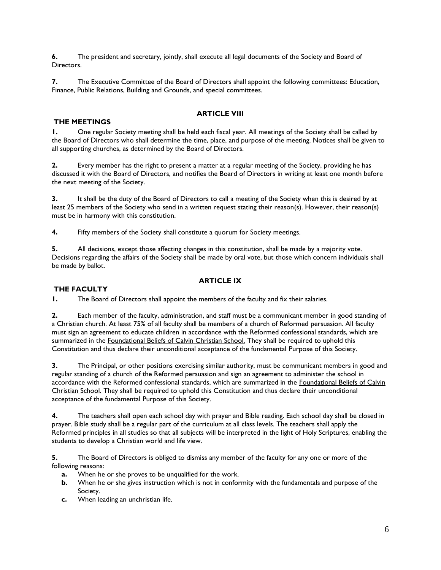**6.** The president and secretary, jointly, shall execute all legal documents of the Society and Board of **Directors** 

**7.** The Executive Committee of the Board of Directors shall appoint the following committees: Education, Finance, Public Relations, Building and Grounds, and special committees.

#### **ARTICLE VIII**

#### **THE MEETINGS**

**1.** One regular Society meeting shall be held each fiscal year. All meetings of the Society shall be called by the Board of Directors who shall determine the time, place, and purpose of the meeting. Notices shall be given to all supporting churches, as determined by the Board of Directors.

**2.** Every member has the right to present a matter at a regular meeting of the Society, providing he has discussed it with the Board of Directors, and notifies the Board of Directors in writing at least one month before the next meeting of the Society.

**3.** It shall be the duty of the Board of Directors to call a meeting of the Society when this is desired by at least 25 members of the Society who send in a written request stating their reason(s). However, their reason(s) must be in harmony with this constitution.

**4.** Fifty members of the Society shall constitute a quorum for Society meetings.

**5.** All decisions, except those affecting changes in this constitution, shall be made by a majority vote. Decisions regarding the affairs of the Society shall be made by oral vote, but those which concern individuals shall be made by ballot.

#### **ARTICLE IX**

#### **THE FACULTY**

**1.** The Board of Directors shall appoint the members of the faculty and fix their salaries.

**2.** Each member of the faculty, administration, and staff must be a communicant member in good standing of a Christian church. At least 75% of all faculty shall be members of a church of Reformed persuasion. All faculty must sign an agreement to educate children in accordance with the Reformed confessional standards, which are summarized in the Foundational Beliefs of Calvin Christian School. They shall be required to uphold this Constitution and thus declare their unconditional acceptance of the fundamental Purpose of this Society.

**3.** The Principal, or other positions exercising similar authority, must be communicant members in good and regular standing of a church of the Reformed persuasion and sign an agreement to administer the school in accordance with the Reformed confessional standards, which are summarized in the Foundational Beliefs of Calvin Christian School. They shall be required to uphold this Constitution and thus declare their unconditional acceptance of the fundamental Purpose of this Society.

**4.** The teachers shall open each school day with prayer and Bible reading. Each school day shall be closed in prayer. Bible study shall be a regular part of the curriculum at all class levels. The teachers shall apply the Reformed principles in all studies so that all subjects will be interpreted in the light of Holy Scriptures, enabling the students to develop a Christian world and life view.

**5.** The Board of Directors is obliged to dismiss any member of the faculty for any one or more of the following reasons:

- **a.** When he or she proves to be unqualified for the work.
- **b.** When he or she gives instruction which is not in conformity with the fundamentals and purpose of the Society.
- **c.** When leading an unchristian life.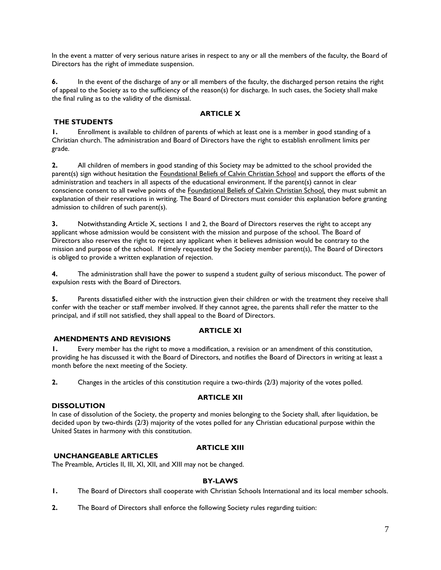In the event a matter of very serious nature arises in respect to any or all the members of the faculty, the Board of Directors has the right of immediate suspension.

**6.** In the event of the discharge of any or all members of the faculty, the discharged person retains the right of appeal to the Society as to the sufficiency of the reason(s) for discharge. In such cases, the Society shall make the final ruling as to the validity of the dismissal.

#### **ARTICLE X**

#### **THE STUDENTS**

**1.** Enrollment is available to children of parents of which at least one is a member in good standing of a Christian church. The administration and Board of Directors have the right to establish enrollment limits per grade.

**2.** All children of members in good standing of this Society may be admitted to the school provided the parent(s) sign without hesitation the **Foundational Beliefs of Calvin Christian School** and support the efforts of the administration and teachers in all aspects of the educational environment. If the parent(s) cannot in clear conscience consent to all twelve points of the **Foundational Beliefs of Calvin Christian School**, they must submit an explanation of their reservations in writing. The Board of Directors must consider this explanation before granting admission to children of such parent(s).

**3.** Notwithstanding Article X, sections 1 and 2, the Board of Directors reserves the right to accept any applicant whose admission would be consistent with the mission and purpose of the school. The Board of Directors also reserves the right to reject any applicant when it believes admission would be contrary to the mission and purpose of the school. If timely requested by the Society member parent(s), The Board of Directors is obliged to provide a written explanation of rejection.

**4.** The administration shall have the power to suspend a student guilty of serious misconduct. The power of expulsion rests with the Board of Directors.

**5.** Parents dissatisfied either with the instruction given their children or with the treatment they receive shall confer with the teacher or staff member involved. If they cannot agree, the parents shall refer the matter to the principal, and if still not satisfied, they shall appeal to the Board of Directors.

#### **ARTICLE XI**

#### **AMENDMENTS AND REVISIONS**

**1.** Every member has the right to move a modification, a revision or an amendment of this constitution, providing he has discussed it with the Board of Directors, and notifies the Board of Directors in writing at least a month before the next meeting of the Society.

**2.** Changes in the articles of this constitution require a two-thirds (2/3) majority of the votes polled.

#### **ARTICLE XII**

#### **DISSOLUTION**

In case of dissolution of the Society, the property and monies belonging to the Society shall, after liquidation, be decided upon by two-thirds (2/3) majority of the votes polled for any Christian educational purpose within the United States in harmony with this constitution.

#### **ARTICLE XIII**

#### **UNCHANGEABLE ARTICLES**

The Preamble, Articles II, III, XI, XII, and XIII may not be changed.

#### **BY-LAWS**

- **1.** The Board of Directors shall cooperate with Christian Schools International and its local member schools.
- **2.** The Board of Directors shall enforce the following Society rules regarding tuition: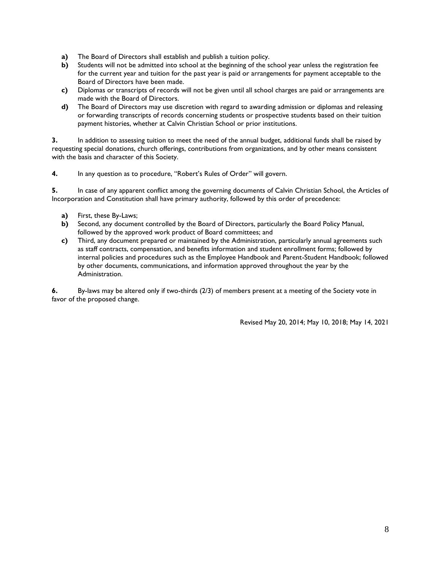- **a)** The Board of Directors shall establish and publish a tuition policy.
- **b)** Students will not be admitted into school at the beginning of the school year unless the registration fee for the current year and tuition for the past year is paid or arrangements for payment acceptable to the Board of Directors have been made.
- **c)** Diplomas or transcripts of records will not be given until all school charges are paid or arrangements are made with the Board of Directors.
- **d)** The Board of Directors may use discretion with regard to awarding admission or diplomas and releasing or forwarding transcripts of records concerning students or prospective students based on their tuition payment histories, whether at Calvin Christian School or prior institutions.

**3.** In addition to assessing tuition to meet the need of the annual budget, additional funds shall be raised by requesting special donations, church offerings, contributions from organizations, and by other means consistent with the basis and character of this Society.

**4.** In any question as to procedure, "Robert's Rules of Order" will govern.

**5.** In case of any apparent conflict among the governing documents of Calvin Christian School, the Articles of Incorporation and Constitution shall have primary authority, followed by this order of precedence:

- **a)** First, these By-Laws;
- **b)** Second, any document controlled by the Board of Directors, particularly the Board Policy Manual, followed by the approved work product of Board committees; and
- **c)** Third, any document prepared or maintained by the Administration, particularly annual agreements such as staff contracts, compensation, and benefits information and student enrollment forms; followed by internal policies and procedures such as the Employee Handbook and Parent-Student Handbook; followed by other documents, communications, and information approved throughout the year by the Administration.

**6.** By-laws may be altered only if two-thirds (2/3) of members present at a meeting of the Society vote in favor of the proposed change.

Revised May 20, 2014; May 10, 2018; May 14, 2021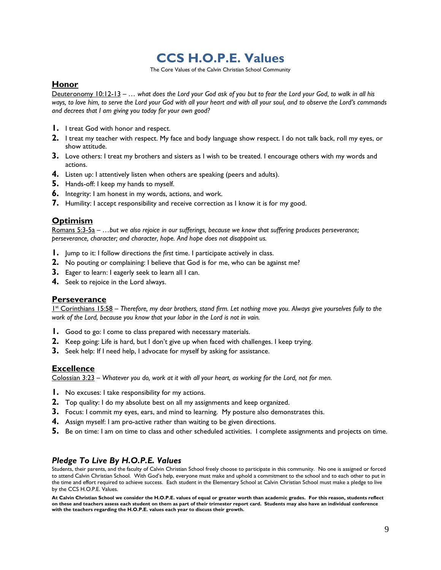# **CCS H.O.P.E. Values**

The Core Values of the Calvin Christian School Community

### **Honor**

Deuteronomy 10:12-13 – *… what does the Lord your God ask of you but to fear the Lord your God, to walk in all his ways, to love him, to serve the Lord your God with all your heart and with all your soul, and to observe the Lord's commands and decrees that I am giving you today for your own good?*

- **1.** I treat God with honor and respect.
- **2.** I treat my teacher with respect. My face and body language show respect. I do not talk back, roll my eyes, or show attitude.
- **3.** Love others: I treat my brothers and sisters as I wish to be treated. I encourage others with my words and actions.
- **4.** Listen up: I attentively listen when others are speaking (peers and adults).
- **5.** Hands-off: I keep my hands to myself.
- **6.** Integrity: I am honest in my words, actions, and work.
- **7.** Humility: I accept responsibility and receive correction as I know it is for my good.

# **Optimism**

Romans 5:3-5a – *…but we also rejoice in our sufferings, because we know that suffering produces perseverance; perseverance, character; and character, hope. And hope does not disappoint us.*

- **1.** Jump to it: I follow directions *the first* time. I participate actively in class.
- **2.** No pouting or complaining: I believe that God is for me, who can be against me?
- **3.** Eager to learn: I eagerly seek to learn all I can.
- **4.** Seek to rejoice in the Lord always.

#### **Perseverance**

1<sup>st</sup> Corinthians 15:58 - Therefore, my dear brothers, stand firm. Let nothing move you. Always give yourselves fully to the *work of the Lord, because you know that your labor in the Lord is not in vain.*

- **1.** Good to go: I come to class prepared with necessary materials.
- **2.** Keep going: Life is hard, but I don't give up when faced with challenges. I keep trying.
- **3.** Seek help: If I need help, I advocate for myself by asking for assistance.

#### **Excellence**

Colossian 3:23 – *Whatever you do, work at it with all your heart, as working for the Lord, not for men.*

- **1.** No excuses: I take responsibility for my actions.
- **2.** Top quality: I do my absolute best on all my assignments and keep organized.
- **3.** Focus: I commit my eyes, ears, and mind to learning. My posture also demonstrates this.
- **4.** Assign myself: I am pro-active rather than waiting to be given directions.
- **5.** Be on time: I am on time to class and other scheduled activities. I complete assignments and projects on time.

# *Pledge To Live By H.O.P.E. Values*

Students, their parents, and the faculty of Calvin Christian School freely choose to participate in this community. No one is assigned or forced to attend Calvin Christian School. With God's help, everyone must make and uphold a commitment to the school and to each other to put in the time and effort required to achieve success. Each student in the Elementary School at Calvin Christian School must make a pledge to live by the CCS H.O.P.E. Values.

**At Calvin Christian School we consider the H.O.P.E. values of equal or greater worth than academic grades. For this reason, students reflect on these and teachers assess each student on them as part of their trimester report card. Students may also have an individual conference with the teachers regarding the H.O.P.E. values each year to discuss their growth.**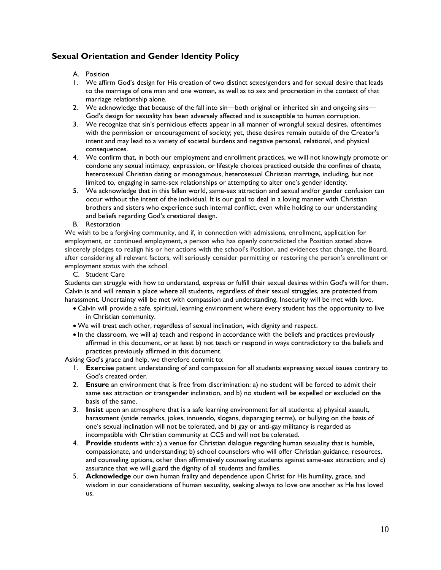# **Sexual Orientation and Gender Identity Policy**

#### A. Position

- 1. We affirm God's design for His creation of two distinct sexes/genders and for sexual desire that leads to the marriage of one man and one woman, as well as to sex and procreation in the context of that marriage relationship alone.
- 2. We acknowledge that because of the fall into sin—both original or inherited sin and ongoing sins— God's design for sexuality has been adversely affected and is susceptible to human corruption.
- 3. We recognize that sin's pernicious effects appear in all manner of wrongful sexual desires, oftentimes with the permission or encouragement of society; yet, these desires remain outside of the Creator's intent and may lead to a variety of societal burdens and negative personal, relational, and physical consequences.
- 4. We confirm that, in both our employment and enrollment practices, we will not knowingly promote or condone any sexual intimacy, expression, or lifestyle choices practiced outside the confines of chaste, heterosexual Christian dating or monogamous, heterosexual Christian marriage, including, but not limited to, engaging in same-sex relationships or attempting to alter one's gender identity.
- 5. We acknowledge that in this fallen world, same-sex attraction and sexual and/or gender confusion can occur without the intent of the individual. It is our goal to deal in a loving manner with Christian brothers and sisters who experience such internal conflict, even while holding to our understanding and beliefs regarding God's creational design.

#### B. Restoration

We wish to be a forgiving community, and if, in connection with admissions, enrollment, application for employment, or continued employment, a person who has openly contradicted the Position stated above sincerely pledges to realign his or her actions with the school's Position, and evidences that change, the Board, after considering all relevant factors, will seriously consider permitting or restoring the person's enrollment or employment status with the school.

#### C. Student Care

Students can struggle with how to understand, express or fulfill their sexual desires within God's will for them. Calvin is and will remain a place where all students, regardless of their sexual struggles, are protected from harassment. Uncertainty will be met with compassion and understanding. Insecurity will be met with love.

- Calvin will provide a safe, spiritual, learning environment where every student has the opportunity to live in Christian community.
- We will treat each other, regardless of sexual inclination, with dignity and respect.
- $\bullet$  In the classroom, we will a) teach and respond in accordance with the beliefs and practices previously affirmed in this document, or at least b) not teach or respond in ways contradictory to the beliefs and practices previously affirmed in this document.

Asking God's grace and help, we therefore commit to:

- 1. **Exercise** patient understanding of and compassion for all students expressing sexual issues contrary to God's created order.
- 2. **Ensure** an environment that is free from discrimination: a) no student will be forced to admit their same sex attraction or transgender inclination, and b) no student will be expelled or excluded on the basis of the same.
- 3. **Insist** upon an atmosphere that is a safe learning environment for all students: a) physical assault, harassment (snide remarks, jokes, innuendo, slogans, disparaging terms), or bullying on the basis of one's sexual inclination will not be tolerated, and b) gay or anti-gay militancy is regarded as incompatible with Christian community at CCS and will not be tolerated.
- 4. **Provide** students with: a) a venue for Christian dialogue regarding human sexuality that is humble, compassionate, and understanding; b) school counselors who will offer Christian guidance, resources, and counseling options, other than affirmatively counseling students against same-sex attraction; and c) assurance that we will guard the dignity of all students and families.
- 5. **Acknowledge** our own human frailty and dependence upon Christ for His humility, grace, and wisdom in our considerations of human sexuality, seeking always to love one another as He has loved us.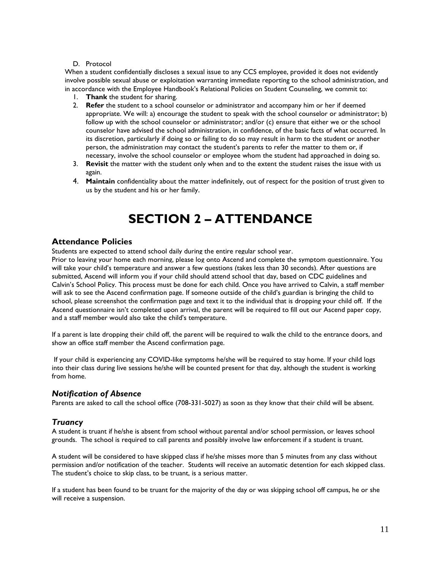#### D. Protocol

When a student confidentially discloses a sexual issue to any CCS employee, provided it does not evidently involve possible sexual abuse or exploitation warranting immediate reporting to the school administration, and in accordance with the Employee Handbook's Relational Policies on Student Counseling, we commit to:

- 1. **Thank** the student for sharing.
- 2. **Refer** the student to a school counselor or administrator and accompany him or her if deemed appropriate. We will: a) encourage the student to speak with the school counselor or administrator; b) follow up with the school counselor or administrator; and/or (c) ensure that either we or the school counselor have advised the school administration, in confidence, of the basic facts of what occurred. In its discretion, particularly if doing so or failing to do so may result in harm to the student or another person, the administration may contact the student's parents to refer the matter to them or, if necessary, involve the school counselor or employee whom the student had approached in doing so.
- 3. **Revisit** the matter with the student only when and to the extent the student raises the issue with us again.
- 4. **Maintain** confidentiality about the matter indefinitely, out of respect for the position of trust given to us by the student and his or her family.

# **SECTION 2 – ATTENDANCE**

#### **Attendance Policies**

Students are expected to attend school daily during the entire regular school year.

Prior to leaving your home each morning, please log onto Ascend and complete the symptom questionnaire. You will take your child's temperature and answer a few questions (takes less than 30 seconds). After questions are submitted, Ascend will inform you if your child should attend school that day, based on CDC guidelines and Calvin's School Policy. This process must be done for each child. Once you have arrived to Calvin, a staff member will ask to see the Ascend confirmation page. If someone outside of the child's guardian is bringing the child to school, please screenshot the confirmation page and text it to the individual that is dropping your child off. If the Ascend questionnaire isn't completed upon arrival, the parent will be required to fill out our Ascend paper copy, and a staff member would also take the child's temperature.

If a parent is late dropping their child off, the parent will be required to walk the child to the entrance doors, and show an office staff member the Ascend confirmation page.

If your child is experiencing any COVID-like symptoms he/she will be required to stay home. If your child logs into their class during live sessions he/she will be counted present for that day, although the student is working from home.

#### *Notification of Absence*

Parents are asked to call the school office (708-331-5027) as soon as they know that their child will be absent.

#### *Truancy*

A student is truant if he/she is absent from school without parental and/or school permission, or leaves school grounds. The school is required to call parents and possibly involve law enforcement if a student is truant.

A student will be considered to have skipped class if he/she misses more than 5 minutes from any class without permission and/or notification of the teacher. Students will receive an automatic detention for each skipped class. The student's choice to skip class, to be truant, is a serious matter.

If a student has been found to be truant for the majority of the day or was skipping school off campus, he or she will receive a suspension.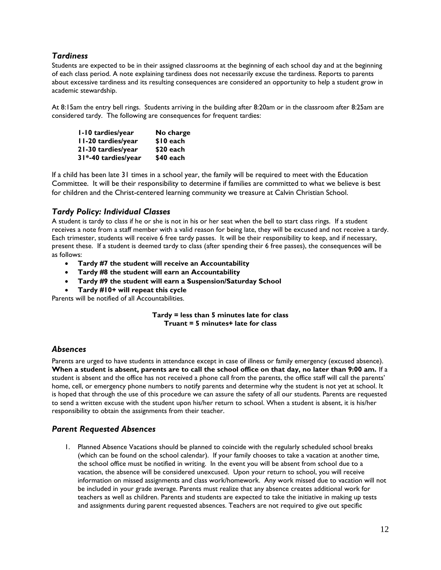# *Tardiness*

Students are expected to be in their assigned classrooms at the beginning of each school day and at the beginning of each class period. A note explaining tardiness does not necessarily excuse the tardiness. Reports to parents about excessive tardiness and its resulting consequences are considered an opportunity to help a student grow in academic stewardship.

At 8:15am the entry bell rings. Students arriving in the building after 8:20am or in the classroom after 8:25am are considered tardy. The following are consequences for frequent tardies:

| I-10 tardies/year   | No charge  |
|---------------------|------------|
| II-20 tardies/year  | \$10 each  |
| 21-30 tardies/year  | $$20$ each |
| 31*-40 tardies/year | \$40 each  |

If a child has been late 31 times in a school year, the family will be required to meet with the Education Committee. It will be their responsibility to determine if families are committed to what we believe is best for children and the Christ-centered learning community we treasure at Calvin Christian School.

# *Tardy Policy: Individual Classes*

A student is tardy to class if he or she is not in his or her seat when the bell to start class rings. If a student receives a note from a staff member with a valid reason for being late, they will be excused and not receive a tardy. Each trimester, students will receive 6 free tardy passes. It will be their responsibility to keep, and if necessary, present these. If a student is deemed tardy to class (after spending their 6 free passes), the consequences will be as follows:

- **Tardy #7 the student will receive an Accountability**
- **Tardy #8 the student will earn an Accountability**
- **Tardy #9 the student will earn a Suspension/Saturday School**
- **Tardy #10+ will repeat this cycle**

Parents will be notified of all Accountabilities.

**Tardy = less than 5 minutes late for class Truant = 5 minutes+ late for class**

# *Absences*

Parents are urged to have students in attendance except in case of illness or family emergency (excused absence). **When a student is absent, parents are to call the school office on that day, no later than 9:00 am.** If a student is absent and the office has not received a phone call from the parents, the office staff will call the parents' home, cell, or emergency phone numbers to notify parents and determine why the student is not yet at school. It is hoped that through the use of this procedure we can assure the safety of all our students. Parents are requested to send a written excuse with the student upon his/her return to school. When a student is absent, it is his/her responsibility to obtain the assignments from their teacher.

#### *Parent Requested Absences*

1. Planned Absence Vacations should be planned to coincide with the regularly scheduled school breaks (which can be found on the school calendar). If your family chooses to take a vacation at another time, the school office must be notified in writing. In the event you will be absent from school due to a vacation, the absence will be considered unexcused. Upon your return to school, you will receive information on missed assignments and class work/homework. Any work missed due to vacation will not be included in your grade average. Parents must realize that any absence creates additional work for teachers as well as children. Parents and students are expected to take the initiative in making up tests and assignments during parent requested absences. Teachers are not required to give out specific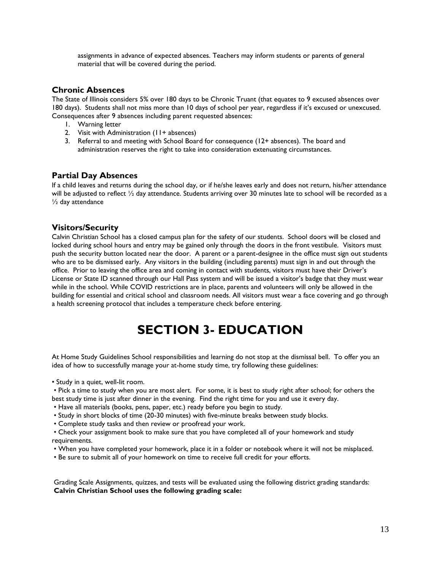assignments in advance of expected absences. Teachers may inform students or parents of general material that will be covered during the period.

### **Chronic Absences**

The State of Illinois considers 5% over 180 days to be Chronic Truant (that equates to 9 excused absences over 180 days). Students shall not miss more than 10 days of school per year, regardless if it's excused or unexcused. Consequences after 9 absences including parent requested absences:

- 1. Warning letter
- 2. Visit with Administration (11+ absences)
- 3. Referral to and meeting with School Board for consequence (12+ absences). The board and administration reserves the right to take into consideration extenuating circumstances.

### **Partial Day Absences**

If a child leaves and returns during the school day, or if he/she leaves early and does not return, his/her attendance will be adjusted to reflect ½ day attendance. Students arriving over 30 minutes late to school will be recorded as a ½ day attendance

### **Visitors/Security**

Calvin Christian School has a closed campus plan for the safety of our students. School doors will be closed and locked during school hours and entry may be gained only through the doors in the front vestibule. Visitors must push the security button located near the door. A parent or a parent-designee in the office must sign out students who are to be dismissed early. Any visitors in the building (including parents) must sign in and out through the office. Prior to leaving the office area and coming in contact with students, visitors must have their Driver's License or State ID scanned through our Hall Pass system and will be issued a visitor's badge that they must wear while in the school. While COVID restrictions are in place, parents and volunteers will only be allowed in the building for essential and critical school and classroom needs. All visitors must wear a face covering and go through a health screening protocol that includes a temperature check before entering.

# **SECTION 3- EDUCATION**

At Home Study Guidelines School responsibilities and learning do not stop at the dismissal bell. To offer you an idea of how to successfully manage your at-home study time, try following these guidelines:

• Study in a quiet, well-lit room.

• Pick a time to study when you are most alert. For some, it is best to study right after school; for others the best study time is just after dinner in the evening. Find the right time for you and use it every day.

- Have all materials (books, pens, paper, etc.) ready before you begin to study.
- Study in short blocks of time (20-30 minutes) with five-minute breaks between study blocks.
- Complete study tasks and then review or proofread your work.

• Check your assignment book to make sure that you have completed all of your homework and study requirements.

- When you have completed your homework, place it in a folder or notebook where it will not be misplaced.
- Be sure to submit all of your homework on time to receive full credit for your efforts.

Grading Scale Assignments, quizzes, and tests will be evaluated using the following district grading standards: **Calvin Christian School uses the following grading scale:**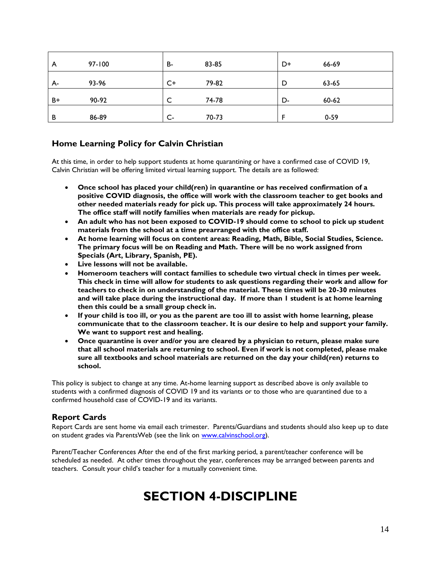| A    | $97 - 100$ | <b>B-</b> | 83-85 | D+ | 66-69    |
|------|------------|-----------|-------|----|----------|
| А-   | 93-96      | $C+$      | 79-82 | D  | 63-65    |
| $B+$ | 90-92      |           | 74-78 | D- | 60-62    |
| B    | 86-89      | $C -$     | 70-73 | -  | $0 - 59$ |

# **Home Learning Policy for Calvin Christian**

At this time, in order to help support students at home quarantining or have a confirmed case of COVID 19, Calvin Christian will be offering limited virtual learning support. The details are as followed:

- **Once school has placed your child(ren) in quarantine or has received confirmation of a positive COVID diagnosis, the office will work with the classroom teacher to get books and other needed materials ready for pick up. This process will take approximately 24 hours. The office staff will notify families when materials are ready for pickup.**
- **An adult who has not been exposed to COVID-19 should come to school to pick up student materials from the school at a time prearranged with the office staff.**
- **At home learning will focus on content areas: Reading, Math, Bible, Social Studies, Science. The primary focus will be on Reading and Math. There will be no work assigned from Specials (Art, Library, Spanish, PE).**
- **Live lessons will not be available.**
- **Homeroom teachers will contact families to schedule two virtual check in times per week. This check in time will allow for students to ask questions regarding their work and allow for teachers to check in on understanding of the material. These times will be 20-30 minutes and will take place during the instructional day. If more than 1 student is at home learning then this could be a small group check in.**
- **If your child is too ill, or you as the parent are too ill to assist with home learning, please communicate that to the classroom teacher. It is our desire to help and support your family. We want to support rest and healing.**
- **Once quarantine is over and/or you are cleared by a physician to return, please make sure that all school materials are returning to school. Even if work is not completed, please make sure all textbooks and school materials are returned on the day your child(ren) returns to school.**

This policy is subject to change at any time. At-home learning support as described above is only available to students with a confirmed diagnosis of COVID 19 and its variants or to those who are quarantined due to a confirmed household case of COVID-19 and its variants.

# **Report Cards**

Report Cards are sent home via email each trimester. Parents/Guardians and students should also keep up to date on student grades via ParentsWeb (see the link on [www.calvinschool.org\)](http://www.calvinschool.org/).

Parent/Teacher Conferences After the end of the first marking period, a parent/teacher conference will be scheduled as needed. At other times throughout the year, conferences may be arranged between parents and teachers. Consult your child's teacher for a mutually convenient time.

# **SECTION 4-DISCIPLINE**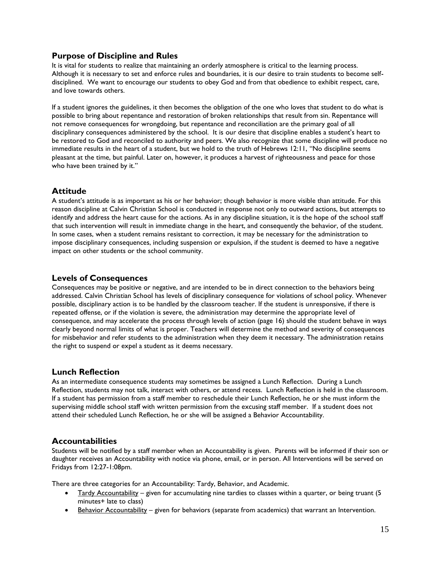# **Purpose of Discipline and Rules**

It is vital for students to realize that maintaining an orderly atmosphere is critical to the learning process. Although it is necessary to set and enforce rules and boundaries, it is our desire to train students to become selfdisciplined. We want to encourage our students to obey God and from that obedience to exhibit respect, care, and love towards others.

If a student ignores the guidelines, it then becomes the obligation of the one who loves that student to do what is possible to bring about repentance and restoration of broken relationships that result from sin. Repentance will not remove consequences for wrongdoing, but repentance and reconciliation are the primary goal of all disciplinary consequences administered by the school. It is our desire that discipline enables a student's heart to be restored to God and reconciled to authority and peers. We also recognize that some discipline will produce no immediate results in the heart of a student, but we hold to the truth of Hebrews 12:11, "No discipline seems pleasant at the time, but painful. Later on, however, it produces a harvest of righteousness and peace for those who have been trained by it."

# **Attitude**

A student's attitude is as important as his or her behavior; though behavior is more visible than attitude. For this reason discipline at Calvin Christian School is conducted in response not only to outward actions, but attempts to identify and address the heart cause for the actions. As in any discipline situation, it is the hope of the school staff that such intervention will result in immediate change in the heart, and consequently the behavior, of the student. In some cases, when a student remains resistant to correction, it may be necessary for the administration to impose disciplinary consequences, including suspension or expulsion, if the student is deemed to have a negative impact on other students or the school community.

# **Levels of Consequences**

Consequences may be positive or negative, and are intended to be in direct connection to the behaviors being addressed. Calvin Christian School has levels of disciplinary consequence for violations of school policy. Whenever possible, disciplinary action is to be handled by the classroom teacher. If the student is unresponsive, if there is repeated offense, or if the violation is severe, the administration may determine the appropriate level of consequence, and may accelerate the process through levels of action (page 16) should the student behave in ways clearly beyond normal limits of what is proper. Teachers will determine the method and severity of consequences for misbehavior and refer students to the administration when they deem it necessary. The administration retains the right to suspend or expel a student as it deems necessary.

# **Lunch Reflection**

As an intermediate consequence students may sometimes be assigned a Lunch Reflection. During a Lunch Reflection, students may not talk, interact with others, or attend recess. Lunch Reflection is held in the classroom. If a student has permission from a staff member to reschedule their Lunch Reflection, he or she must inform the supervising middle school staff with written permission from the excusing staff member. If a student does not attend their scheduled Lunch Reflection, he or she will be assigned a Behavior Accountability.

#### **Accountabilities**

Students will be notified by a staff member when an Accountability is given. Parents will be informed if their son or daughter receives an Accountability with notice via phone, email, or in person. All Interventions will be served on Fridays from 12:27-1:08pm.

There are three categories for an Accountability: Tardy, Behavior, and Academic.

- Tardy Accountability given for accumulating nine tardies to classes within a quarter, or being truant (5 minutes+ late to class)
- Behavior Accountability given for behaviors (separate from academics) that warrant an Intervention.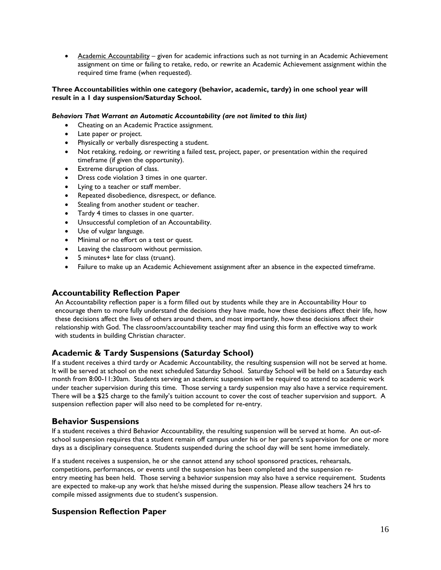• Academic Accountability – given for academic infractions such as not turning in an Academic Achievement assignment on time or failing to retake, redo, or rewrite an Academic Achievement assignment within the required time frame (when requested).

#### **Three Accountabilities within one category (behavior, academic, tardy) in one school year will result in a 1 day suspension/Saturday School.**

#### *Behaviors That Warrant an Automatic Accountability (are not limited to this list)*

- Cheating on an Academic Practice assignment.
- Late paper or project.
- Physically or verbally disrespecting a student.
- Not retaking, redoing, or rewriting a failed test, project, paper, or presentation within the required timeframe (if given the opportunity).
- Extreme disruption of class.
- Dress code violation 3 times in one quarter.
- Lying to a teacher or staff member.
- Repeated disobedience, disrespect, or defiance.
- Stealing from another student or teacher.
- Tardy 4 times to classes in one quarter.
- Unsuccessful completion of an Accountability.
- Use of vulgar language.
- Minimal or no effort on a test or quest.
- Leaving the classroom without permission.
- 5 minutes+ late for class (truant).
- Failure to make up an Academic Achievement assignment after an absence in the expected timeframe.

# **Accountability Reflection Paper**

An Accountability reflection paper is a form filled out by students while they are in Accountability Hour to encourage them to more fully understand the decisions they have made, how these decisions affect their life, how these decisions affect the lives of others around them, and most importantly, how these decisions affect their relationship with God. The classroom/accountability teacher may find using this form an effective way to work with students in building Christian character.

# **Academic & Tardy Suspensions (Saturday School)**

If a student receives a third tardy or Academic Accountability, the resulting suspension will not be served at home. It will be served at school on the next scheduled Saturday School. Saturday School will be held on a Saturday each month from 8:00-11:30am. Students serving an academic suspension will be required to attend to academic work under teacher supervision during this time. Those serving a tardy suspension may also have a service requirement. There will be a \$25 charge to the family's tuition account to cover the cost of teacher supervision and support. A suspension reflection paper will also need to be completed for re-entry.

# **Behavior Suspensions**

If a student receives a third Behavior Accountability, the resulting suspension will be served at home. An out-ofschool suspension requires that a student remain off campus under his or her parent's supervision for one or more days as a disciplinary consequence. Students suspended during the school day will be sent home immediately.

If a student receives a suspension, he or she cannot attend any school sponsored practices, rehearsals, competitions, performances, or events until the suspension has been completed and the suspension reentry meeting has been held. Those serving a behavior suspension may also have a service requirement. Students are expected to make-up any work that he/she missed during the suspension. Please allow teachers 24 hrs to compile missed assignments due to student's suspension.

# **Suspension Reflection Paper**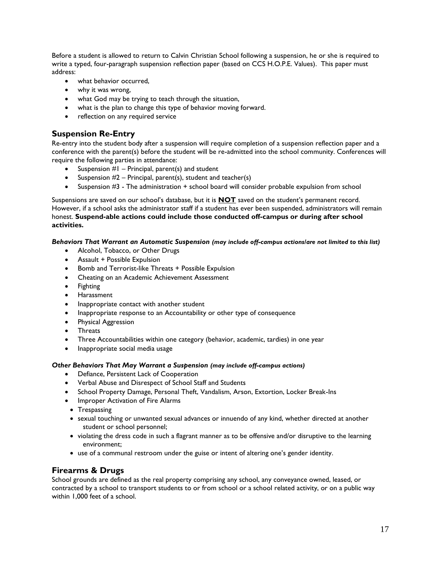Before a student is allowed to return to Calvin Christian School following a suspension, he or she is required to write a typed, four-paragraph suspension reflection paper (based on CCS H.O.P.E. Values). This paper must address:

- what behavior occurred.
- why it was wrong,
- what God may be trying to teach through the situation,
- what is the plan to change this type of behavior moving forward.
- reflection on any required service

# **Suspension Re-Entry**

Re-entry into the student body after a suspension will require completion of a suspension reflection paper and a conference with the parent(s) before the student will be re-admitted into the school community. Conferences will require the following parties in attendance:

- Suspension  $#I$  Principal, parent(s) and student
- Suspension  $#2$  Principal, parent(s), student and teacher(s)
- Suspension #3 The administration + school board will consider probable expulsion from school

Suspensions are saved on our school's database, but it is **NOT** saved on the student's permanent record. However, if a school asks the administrator staff if a student has ever been suspended, administrators will remain honest. **Suspend-able actions could include those conducted off-campus or during after school activities.** 

#### *Behaviors That Warrant an Automatic Suspension (may include off-campus actions/are not limited to this list)*

- Alcohol, Tobacco, or Other Drugs
- Assault + Possible Expulsion
- Bomb and Terrorist-like Threats + Possible Expulsion
- Cheating on an Academic Achievement Assessment
- Fighting
- **•** Harassment
- Inappropriate contact with another student
- Inappropriate response to an Accountability or other type of consequence
- Physical Aggression
- Threats
- Three Accountabilities within one category (behavior, academic, tardies) in one year
- Inappropriate social media usage

#### *Other Behaviors That May Warrant a Suspension (may include off-campus actions)*

- Defiance, Persistent Lack of Cooperation
- Verbal Abuse and Disrespect of School Staff and Students
- School Property Damage, Personal Theft, Vandalism, Arson, Extortion, Locker Break-Ins
- Improper Activation of Fire Alarms
- Trespassing
- sexual touching or unwanted sexual advances or innuendo of any kind, whether directed at another student or school personnel;
- violating the dress code in such a flagrant manner as to be offensive and/or disruptive to the learning environment;
- use of a communal restroom under the guise or intent of altering one's gender identity.

# **Firearms & Drugs**

School grounds are defined as the real property comprising any school, any conveyance owned, leased, or contracted by a school to transport students to or from school or a school related activity, or on a public way within 1,000 feet of a school.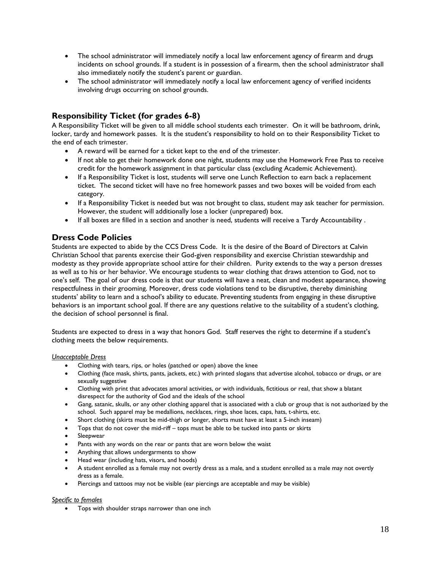- The school administrator will immediately notify a local law enforcement agency of firearm and drugs incidents on school grounds. If a student is in possession of a firearm, then the school administrator shall also immediately notify the student's parent or guardian.
- The school administrator will immediately notify a local law enforcement agency of verified incidents involving drugs occurring on school grounds.

# **Responsibility Ticket (for grades 6-8)**

A Responsibility Ticket will be given to all middle school students each trimester. On it will be bathroom, drink, locker, tardy and homework passes. It is the student's responsibility to hold on to their Responsibility Ticket to the end of each trimester.

- A reward will be earned for a ticket kept to the end of the trimester.
- If not able to get their homework done one night, students may use the Homework Free Pass to receive credit for the homework assignment in that particular class (excluding Academic Achievement).
- If a Responsibility Ticket is lost, students will serve one Lunch Reflection to earn back a replacement ticket. The second ticket will have no free homework passes and two boxes will be voided from each category.
- If a Responsibility Ticket is needed but was not brought to class, student may ask teacher for permission. However, the student will additionally lose a locker (unprepared) box.
- If all boxes are filled in a section and another is need, students will receive a Tardy Accountability .

# **Dress Code Policies**

Students are expected to abide by the CCS Dress Code. It is the desire of the Board of Directors at Calvin Christian School that parents exercise their God-given responsibility and exercise Christian stewardship and modesty as they provide appropriate school attire for their children. Purity extends to the way a person dresses as well as to his or her behavior. We encourage students to wear clothing that draws attention to God, not to one's self. The goal of our dress code is that our students will have a neat, clean and modest appearance, showing respectfulness in their grooming. Moreover, dress code violations tend to be disruptive, thereby diminishing students' ability to learn and a school's ability to educate. Preventing students from engaging in these disruptive behaviors is an important school goal. If there are any questions relative to the suitability of a student's clothing, the decision of school personnel is final.

Students are expected to dress in a way that honors God. Staff reserves the right to determine if a student's clothing meets the below requirements.

#### *Unacceptable Dress*

- Clothing with tears, rips, or holes (patched or open) above the knee
- Clothing (face mask, shirts, pants, jackets, etc.) with printed slogans that advertise alcohol, tobacco or drugs, or are sexually suggestive
- Clothing with print that advocates amoral activities, or with individuals, fictitious or real, that show a blatant disrespect for the authority of God and the ideals of the school
- Gang, satanic, skulls, or any other clothing apparel that is associated with a club or group that is not authorized by the school. Such apparel may be medallions, necklaces, rings, shoe laces, caps, hats, t-shirts, etc.
- Short clothing (skirts must be mid-thigh or longer, shorts must have at least a 5-inch inseam)
- Tops that do not cover the mid-riff tops must be able to be tucked into pants or skirts
- Sleepwear
- Pants with any words on the rear or pants that are worn below the waist
- Anything that allows undergarments to show
- Head wear (including hats, visors, and hoods)
- A student enrolled as a female may not overtly dress as a male, and a student enrolled as a male may not overtly dress as a female.
- Piercings and tattoos may not be visible (ear piercings are acceptable and may be visible)

#### *Specific to females*

• Tops with shoulder straps narrower than one inch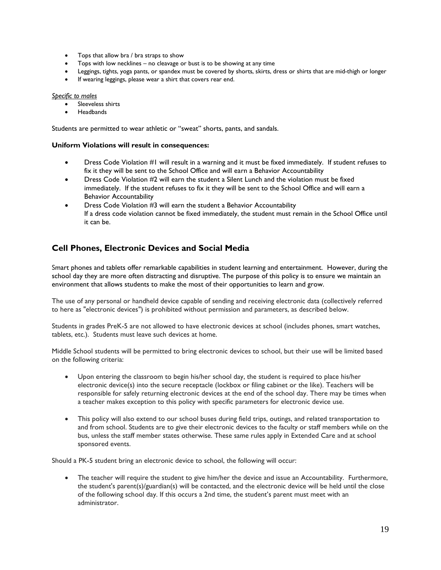- Tops that allow bra / bra straps to show
- Tops with low necklines no cleavage or bust is to be showing at any time
- Leggings, tights, yoga pants, or spandex must be covered by shorts, skirts, dress or shirts that are mid-thigh or longer
- If wearing leggings, please wear a shirt that covers rear end.

#### *Specific to males*

- Sleeveless shirts
- **Headbands**

Students are permitted to wear athletic or "sweat" shorts, pants, and sandals.

#### **Uniform Violations will result in consequences:**

- Dress Code Violation #1 will result in a warning and it must be fixed immediately. If student refuses to fix it they will be sent to the School Office and will earn a Behavior Accountability
- Dress Code Violation #2 will earn the student a Silent Lunch and the violation must be fixed immediately. If the student refuses to fix it they will be sent to the School Office and will earn a Behavior Accountability
- Dress Code Violation #3 will earn the student a Behavior Accountability If a dress code violation cannot be fixed immediately, the student must remain in the School Office until it can be.

# **Cell Phones, Electronic Devices and Social Media**

Smart phones and tablets offer remarkable capabilities in student learning and entertainment. However, during the school day they are more often distracting and disruptive. The purpose of this policy is to ensure we maintain an environment that allows students to make the most of their opportunities to learn and grow.

The use of any personal or handheld device capable of sending and receiving electronic data (collectively referred to here as "electronic devices") is prohibited without permission and parameters, as described below.

Students in grades PreK-5 are not allowed to have electronic devices at school (includes phones, smart watches, tablets, etc.). Students must leave such devices at home.

Middle School students will be permitted to bring electronic devices to school, but their use will be limited based on the following criteria:

- Upon entering the classroom to begin his/her school day, the student is required to place his/her electronic device(s) into the secure receptacle (lockbox or filing cabinet or the like). Teachers will be responsible for safely returning electronic devices at the end of the school day. There may be times when a teacher makes exception to this policy with specific parameters for electronic device use.
- This policy will also extend to our school buses during field trips, outings, and related transportation to and from school. Students are to give their electronic devices to the faculty or staff members while on the bus, unless the staff member states otherwise. These same rules apply in Extended Care and at school sponsored events.

Should a PK-5 student bring an electronic device to school, the following will occur:

 The teacher will require the student to give him/her the device and issue an Accountability. Furthermore, the student's parent(s)/guardian(s) will be contacted, and the electronic device will be held until the close of the following school day. If this occurs a 2nd time, the student's parent must meet with an administrator.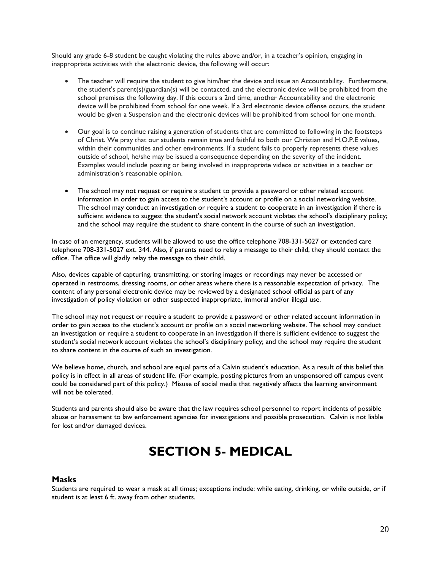Should any grade 6-8 student be caught violating the rules above and/or, in a teacher's opinion, engaging in inappropriate activities with the electronic device, the following will occur:

- The teacher will require the student to give him/her the device and issue an Accountability. Furthermore, the student's parent(s)/guardian(s) will be contacted, and the electronic device will be prohibited from the school premises the following day. If this occurs a 2nd time, another Accountability and the electronic device will be prohibited from school for one week. If a 3rd electronic device offense occurs, the student would be given a Suspension and the electronic devices will be prohibited from school for one month.
- Our goal is to continue raising a generation of students that are committed to following in the footsteps of Christ. We pray that our students remain true and faithful to both our Christian and H.O.P.E values, within their communities and other environments. If a student fails to properly represents these values outside of school, he/she may be issued a consequence depending on the severity of the incident. Examples would include posting or being involved in inappropriate videos or activities in a teacher or administration's reasonable opinion.
- The school may not request or require a student to provide a password or other related account information in order to gain access to the student's account or profile on a social networking website. The school may conduct an investigation or require a student to cooperate in an investigation if there is sufficient evidence to suggest the student's social network account violates the school's disciplinary policy; and the school may require the student to share content in the course of such an investigation.

In case of an emergency, students will be allowed to use the office telephone 708-331-5027 or extended care telephone 708-331-5027 ext. 344. Also, if parents need to relay a message to their child, they should contact the office. The office will gladly relay the message to their child.

Also, devices capable of capturing, transmitting, or storing images or recordings may never be accessed or operated in restrooms, dressing rooms, or other areas where there is a reasonable expectation of privacy. The content of any personal electronic device may be reviewed by a designated school official as part of any investigation of policy violation or other suspected inappropriate, immoral and/or illegal use.

The school may not request or require a student to provide a password or other related account information in order to gain access to the student's account or profile on a social networking website. The school may conduct an investigation or require a student to cooperate in an investigation if there is sufficient evidence to suggest the student's social network account violates the school's disciplinary policy; and the school may require the student to share content in the course of such an investigation.

We believe home, church, and school are equal parts of a Calvin student's education. As a result of this belief this policy is in effect in all areas of student life. (For example, posting pictures from an unsponsored off campus event could be considered part of this policy.) Misuse of social media that negatively affects the learning environment will not be tolerated.

Students and parents should also be aware that the law requires school personnel to report incidents of possible abuse or harassment to law enforcement agencies for investigations and possible prosecution. Calvin is not liable for lost and/or damaged devices.

# **SECTION 5- MEDICAL**

#### **Masks**

Students are required to wear a mask at all times; exceptions include: while eating, drinking, or while outside, or if student is at least 6 ft. away from other students.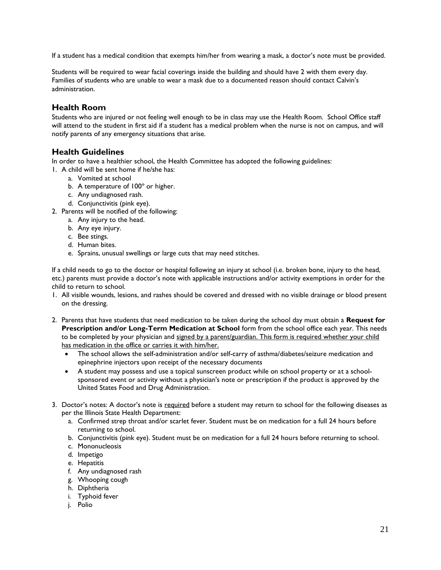If a student has a medical condition that exempts him/her from wearing a mask, a doctor's note must be provided.

Students will be required to wear facial coverings inside the building and should have 2 with them every day. Families of students who are unable to wear a mask due to a documented reason should contact Calvin's administration.

### **Health Room**

Students who are injured or not feeling well enough to be in class may use the Health Room. School Office staff will attend to the student in first aid if a student has a medical problem when the nurse is not on campus, and will notify parents of any emergency situations that arise.

# **Health Guidelines**

In order to have a healthier school, the Health Committee has adopted the following guidelines:

- 1. A child will be sent home if he/she has:
	- a. Vomited at school
	- b. A temperature of 100º or higher.
	- c. Any undiagnosed rash.
	- d. Conjunctivitis (pink eye).
- 2. Parents will be notified of the following:
	- a. Any injury to the head.
	- b. Any eye injury.
	- c. Bee stings.
	- d. Human bites.
	- e. Sprains, unusual swellings or large cuts that may need stitches.

If a child needs to go to the doctor or hospital following an injury at school (i.e. broken bone, injury to the head, etc.) parents must provide a doctor's note with applicable instructions and/or activity exemptions in order for the child to return to school.

- 1. All visible wounds, lesions, and rashes should be covered and dressed with no visible drainage or blood present on the dressing.
- 2. Parents that have students that need medication to be taken during the school day must obtain a **Request for Prescription and/or Long-Term Medication at School** form from the school office each year. This needs to be completed by your physician and signed by a parent/guardian. This form is required whether your child has medication in the office or carries it with him/her.
	- The school allows the self-administration and/or self-carry of asthma/diabetes/seizure medication and epinephrine injectors upon receipt of the necessary documents
	- A student may possess and use a topical sunscreen product while on school property or at a schoolsponsored event or activity without a physician's note or prescription if the product is approved by the United States Food and Drug Administration.
- 3. Doctor's notes: A doctor's note is required before a student may return to school for the following diseases as per the Illinois State Health Department:
	- a. Confirmed strep throat and/or scarlet fever. Student must be on medication for a full 24 hours before returning to school.
	- b. Conjunctivitis (pink eye). Student must be on medication for a full 24 hours before returning to school.
	- c. Mononucleosis
	- d. Impetigo
	- e. Hepatitis
	- f. Any undiagnosed rash
	- g. Whooping cough
	- h. Diphtheria
	- i. Typhoid fever
	- j. Polio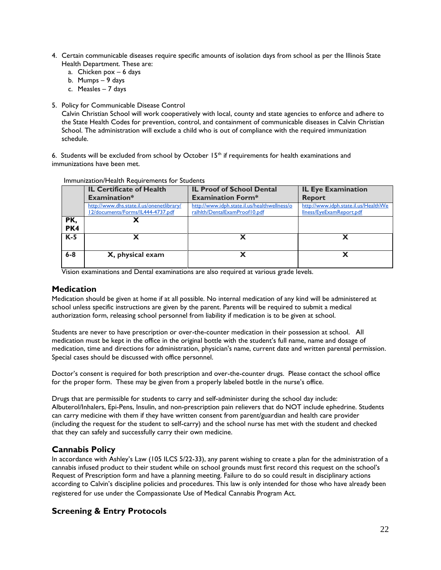- 4. Certain communicable diseases require specific amounts of isolation days from school as per the Illinois State Health Department. These are:
	- a. Chicken pox 6 days
	- b. Mumps 9 days
	- c. Measles 7 days
- 5. Policy for Communicable Disease Control

Calvin Christian School will work cooperatively with local, county and state agencies to enforce and adhere to the State Health Codes for prevention, control, and containment of communicable diseases in Calvin Christian School. The administration will exclude a child who is out of compliance with the required immunization schedule.

6. Students will be excluded from school by October  $15<sup>th</sup>$  if requirements for health examinations and immunizations have been met.

|         | <b>IL Certificate of Health</b>           | <b>IL Proof of School Dental</b>             | <b>IL Eye Examination</b>            |  |
|---------|-------------------------------------------|----------------------------------------------|--------------------------------------|--|
|         | Examination*                              | <b>Examination Form*</b>                     | <b>Report</b>                        |  |
|         | http://www.dhs.state.il.us/onenetlibrary/ | http://www.idph.state.il.us/healthwellness/o | http://www.idph.state.il.us/HealthWe |  |
|         | 12/documents/Forms/IL444-4737.pdf         | ralhith/DentalExamProof10.pdf                | Ilness/EyeExamReport.pdf             |  |
| PK,     |                                           |                                              |                                      |  |
| PK4     |                                           |                                              |                                      |  |
| $K-5$   |                                           |                                              |                                      |  |
|         |                                           |                                              |                                      |  |
| $6 - 8$ | X, physical exam                          |                                              |                                      |  |
|         |                                           |                                              |                                      |  |

#### Immunization/Health Requirements for Students

Vision examinations and Dental examinations are also required at various grade levels.

### **Medication**

Medication should be given at home if at all possible. No internal medication of any kind will be administered at school unless specific instructions are given by the parent. Parents will be required to submit a medical authorization form, releasing school personnel from liability if medication is to be given at school.

Students are never to have prescription or over-the-counter medication in their possession at school. All medication must be kept in the office in the original bottle with the student's full name, name and dosage of medication, time and directions for administration, physician's name, current date and written parental permission. Special cases should be discussed with office personnel.

Doctor's consent is required for both prescription and over-the-counter drugs. Please contact the school office for the proper form. These may be given from a properly labeled bottle in the nurse's office.

Drugs that are permissible for students to carry and self-administer during the school day include: Albuterol/Inhalers, Epi-Pens, Insulin, and non-prescription pain relievers that do NOT include ephedrine. Students can carry medicine with them if they have written consent from parent/guardian and health care provider (including the request for the student to self-carry) and the school nurse has met with the student and checked that they can safely and successfully carry their own medicine.

# **Cannabis Policy**

In accordance with Ashley's Law (105 ILCS 5/22-33), any parent wishing to create a plan for the administration of a cannabis infused product to their student while on school grounds must first record this request on the school's Request of Prescription form and have a planning meeting. Failure to do so could result in disciplinary actions according to Calvin's discipline policies and procedures. This law is only intended for those who have already been registered for use under the Compassionate Use of Medical Cannabis Program Act*.*

# **Screening & Entry Protocols**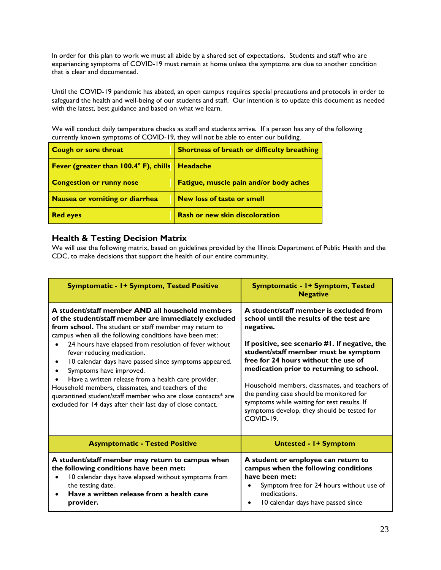In order for this plan to work we must all abide by a shared set of expectations. Students and staff who are experiencing symptoms of COVID-19 must remain at home unless the symptoms are due to another condition that is clear and documented.

Until the COVID-19 pandemic has abated, an open campus requires special precautions and protocols in order to safeguard the health and well-being of our students and staff. Our intention is to update this document as needed with the latest, best guidance and based on what we learn.

We will conduct daily temperature checks as staff and students arrive. If a person has any of the following currently known symptoms of COVID-19, they will not be able to enter our building.

| Cough or sore throat                         | Shortness of breath or difficulty breathing |
|----------------------------------------------|---------------------------------------------|
| <b>Fever (greater than 100.4° F), chills</b> | Headache                                    |
| <b>Congestion or runny nose</b>              | Fatigue, muscle pain and/or body aches      |
| Nausea or vomiting or diarrhea               | <b>New loss of taste or smell</b>           |
| <b>Red eyes</b>                              | <b>Rash or new skin discoloration</b>       |

# **Health & Testing Decision Matrix**

We will use the following matrix, based on guidelines provided by the Illinois Department of Public Health and the CDC, to make decisions that support the health of our entire community.

| Symptomatic - 1+ Symptom, Tested Positive                                                                                                                                                                                                                                                                                                                                                                                                                                                                                                                                                                                                             | Symptomatic - 1+ Symptom, Tested<br><b>Negative</b>                                                                                                                                                                                                                                                                                                                                                                                                                                     |  |
|-------------------------------------------------------------------------------------------------------------------------------------------------------------------------------------------------------------------------------------------------------------------------------------------------------------------------------------------------------------------------------------------------------------------------------------------------------------------------------------------------------------------------------------------------------------------------------------------------------------------------------------------------------|-----------------------------------------------------------------------------------------------------------------------------------------------------------------------------------------------------------------------------------------------------------------------------------------------------------------------------------------------------------------------------------------------------------------------------------------------------------------------------------------|--|
| A student/staff member AND all household members<br>of the student/staff member are immediately excluded<br>from school. The student or staff member may return to<br>campus when all the following conditions have been met:<br>24 hours have elapsed from resolution of fever without<br>fever reducing medication.<br>10 calendar days have passed since symptoms appeared.<br>Symptoms have improved.<br>Have a written release from a health care provider.<br>Household members, classmates, and teachers of the<br>quarantined student/staff member who are close contacts* are<br>excluded for 14 days after their last day of close contact. | A student/staff member is excluded from<br>school until the results of the test are<br>negative.<br>If positive, see scenario #1. If negative, the<br>student/staff member must be symptom<br>free for 24 hours without the use of<br>medication prior to returning to school.<br>Household members, classmates, and teachers of<br>the pending case should be monitored for<br>symptoms while waiting for test results. If<br>symptoms develop, they should be tested for<br>COVID-19. |  |
| <b>Asymptomatic - Tested Positive</b>                                                                                                                                                                                                                                                                                                                                                                                                                                                                                                                                                                                                                 | <b>Untested - I+ Symptom</b>                                                                                                                                                                                                                                                                                                                                                                                                                                                            |  |
| A student/staff member may return to campus when<br>the following conditions have been met:<br>10 calendar days have elapsed without symptoms from<br>the testing date.<br>Have a written release from a health care<br>provider.                                                                                                                                                                                                                                                                                                                                                                                                                     | A student or employee can return to<br>campus when the following conditions<br>have been met:<br>Symptom free for 24 hours without use of<br>$\bullet$<br>medications.<br>10 calendar days have passed since<br>$\bullet$                                                                                                                                                                                                                                                               |  |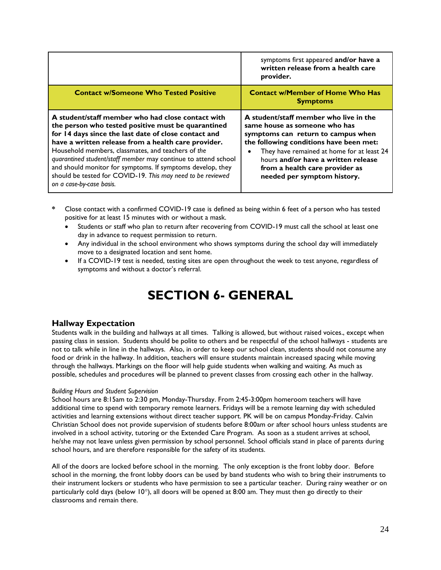|                                                                                                                                                                                                                                                                                                                                                                                                                                                                                                         | symptoms first appeared and/or have a<br>written release from a health care<br>provider.                                                                                                                                                                                                                       |
|---------------------------------------------------------------------------------------------------------------------------------------------------------------------------------------------------------------------------------------------------------------------------------------------------------------------------------------------------------------------------------------------------------------------------------------------------------------------------------------------------------|----------------------------------------------------------------------------------------------------------------------------------------------------------------------------------------------------------------------------------------------------------------------------------------------------------------|
| <b>Contact w/Someone Who Tested Positive</b>                                                                                                                                                                                                                                                                                                                                                                                                                                                            | <b>Contact w/Member of Home Who Has</b><br><b>Symptoms</b>                                                                                                                                                                                                                                                     |
| A student/staff member who had close contact with<br>the person who tested positive must be quarantined<br>for 14 days since the last date of close contact and<br>have a written release from a health care provider.<br>Household members, classmates, and teachers of the<br>quarantined student/staff member may continue to attend school<br>and should monitor for symptoms. If symptoms develop, they<br>should be tested for COVID-19. This may need to be reviewed<br>on a case-by-case basis. | A student/staff member who live in the<br>same house as someone who has<br>symptoms can return to campus when<br>the following conditions have been met:<br>They have remained at home for at least 24<br>hours and/or have a written release<br>from a health care provider as<br>needed per symptom history. |

- **\*** Close contact with a confirmed COVID-19 case is defined as being within 6 feet of a person who has tested positive for at least 15 minutes with or without a mask.
	- Students or staff who plan to return after recovering from COVID-19 must call the school at least one day in advance to request permission to return.
	- Any individual in the school environment who shows symptoms during the school day will immediately move to a designated location and sent home.
	- If a COVID-19 test is needed, testing sites are open throughout the week to test anyone, regardless of symptoms and without a doctor's referral.

# **SECTION 6- GENERAL**

# **Hallway Expectation**

Students walk in the building and hallways at all times. Talking is allowed, but without raised voices., except when passing class in session. Students should be polite to others and be respectful of the school hallways - students are not to talk while in line in the hallways. Also, in order to keep our school clean, students should not consume any food or drink in the hallway. In addition, teachers will ensure students maintain increased spacing while moving through the hallways. Markings on the floor will help guide students when walking and waiting. As much as possible, schedules and procedures will be planned to prevent classes from crossing each other in the hallway.

#### *Building Hours and Student Supervision*

School hours are 8:15am to 2:30 pm, Monday-Thursday. From 2:45-3:00pm homeroom teachers will have additional time to spend with temporary remote learners. Fridays will be a remote learning day with scheduled activities and learning extensions without direct teacher support. PK will be on campus Monday-Friday. Calvin Christian School does not provide supervision of students before 8:00am or after school hours unless students are involved in a school activity, tutoring or the Extended Care Program. As soon as a student arrives at school, he/she may not leave unless given permission by school personnel. School officials stand in place of parents during school hours, and are therefore responsible for the safety of its students.

All of the doors are locked before school in the morning. The only exception is the front lobby door. Before school in the morning, the front lobby doors can be used by band students who wish to bring their instruments to their instrument lockers or students who have permission to see a particular teacher. During rainy weather or on particularly cold days (below  $10^{\circ}$ ), all doors will be opened at 8:00 am. They must then go directly to their classrooms and remain there.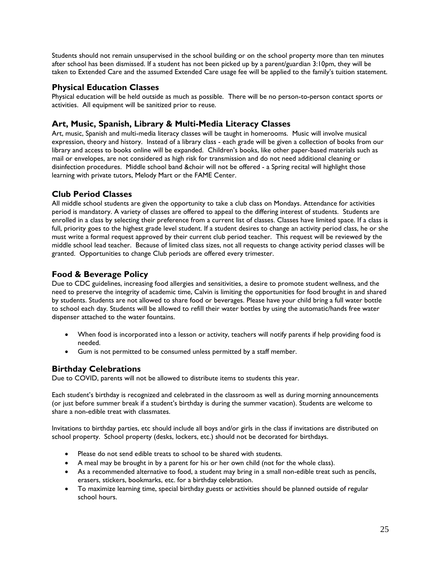Students should not remain unsupervised in the school building or on the school property more than ten minutes after school has been dismissed. If a student has not been picked up by a parent/guardian 3:10pm, they will be taken to Extended Care and the assumed Extended Care usage fee will be applied to the family's tuition statement.

# **Physical Education Classes**

Physical education will be held outside as much as possible. There will be no person-to-person contact sports or activities. All equipment will be sanitized prior to reuse.

# **Art, Music, Spanish, Library & Multi-Media Literacy Classes**

Art, music, Spanish and multi-media literacy classes will be taught in homerooms. Music will involve musical expression, theory and history. Instead of a library class - each grade will be given a collection of books from our library and access to books online will be expanded. Children's books, like other paper-based materials such as mail or envelopes, are not considered as high risk for transmission and do not need additional cleaning or disinfection procedures. Middle school band &choir will not be offered - a Spring recital will highlight those learning with private tutors, Melody Mart or the FAME Center.

# **Club Period Classes**

All middle school students are given the opportunity to take a club class on Mondays. Attendance for activities period is mandatory. A variety of classes are offered to appeal to the differing interest of students. Students are enrolled in a class by selecting their preference from a current list of classes. Classes have limited space. If a class is full, priority goes to the highest grade level student. If a student desires to change an activity period class, he or she must write a formal request approved by their current club period teacher. This request will be reviewed by the middle school lead teacher. Because of limited class sizes, not all requests to change activity period classes will be granted. Opportunities to change Club periods are offered every trimester.

# **Food & Beverage Policy**

Due to CDC guidelines, increasing food allergies and sensitivities, a desire to promote student wellness, and the need to preserve the integrity of academic time, Calvin is limiting the opportunities for food brought in and shared by students. Students are not allowed to share food or beverages. Please have your child bring a full water bottle to school each day. Students will be allowed to refill their water bottles by using the automatic/hands free water dispenser attached to the water fountains.

- When food is incorporated into a lesson or activity, teachers will notify parents if help providing food is needed.
- Gum is not permitted to be consumed unless permitted by a staff member.

# **Birthday Celebrations**

Due to COVID, parents will not be allowed to distribute items to students this year.

Each student's birthday is recognized and celebrated in the classroom as well as during morning announcements (or just before summer break if a student's birthday is during the summer vacation). Students are welcome to share a non-edible treat with classmates.

Invitations to birthday parties, etc should include all boys and/or girls in the class if invitations are distributed on school property. School property (desks, lockers, etc.) should not be decorated for birthdays.

- Please do not send edible treats to school to be shared with students.
- A meal may be brought in by a parent for his or her own child (not for the whole class).
- As a recommended alternative to food, a student may bring in a small non-edible treat such as pencils, erasers, stickers, bookmarks, etc. for a birthday celebration.
- To maximize learning time, special birthday guests or activities should be planned outside of regular school hours.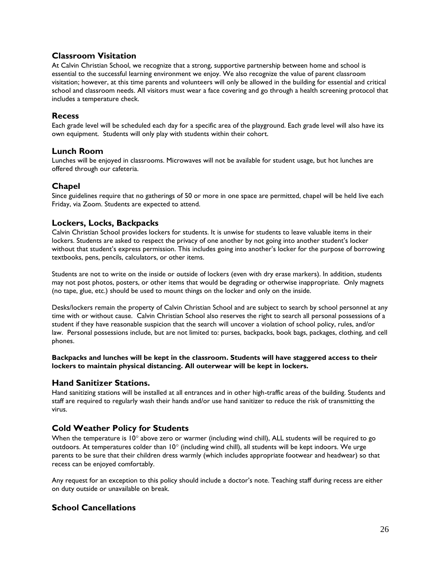# **Classroom Visitation**

At Calvin Christian School, we recognize that a strong, supportive partnership between home and school is essential to the successful learning environment we enjoy. We also recognize the value of parent classroom visitation; however, at this time parents and volunteers will only be allowed in the building for essential and critical school and classroom needs. All visitors must wear a face covering and go through a health screening protocol that includes a temperature check.

### **Recess**

Each grade level will be scheduled each day for a specific area of the playground. Each grade level will also have its own equipment. Students will only play with students within their cohort.

# **Lunch Room**

Lunches will be enjoyed in classrooms. Microwaves will not be available for student usage, but hot lunches are offered through our cafeteria.

# **Chapel**

Since guidelines require that no gatherings of 50 or more in one space are permitted, chapel will be held live each Friday, via Zoom. Students are expected to attend.

# **Lockers, Locks, Backpacks**

Calvin Christian School provides lockers for students. It is unwise for students to leave valuable items in their lockers. Students are asked to respect the privacy of one another by not going into another student's locker without that student's express permission. This includes going into another's locker for the purpose of borrowing textbooks, pens, pencils, calculators, or other items.

Students are not to write on the inside or outside of lockers (even with dry erase markers). In addition, students may not post photos, posters, or other items that would be degrading or otherwise inappropriate. Only magnets (no tape, glue, etc.) should be used to mount things on the locker and only on the inside.

Desks/lockers remain the property of Calvin Christian School and are subject to search by school personnel at any time with or without cause. Calvin Christian School also reserves the right to search all personal possessions of a student if they have reasonable suspicion that the search will uncover a violation of school policy, rules, and/or law. Personal possessions include, but are not limited to: purses, backpacks, book bags, packages, clothing, and cell phones.

**Backpacks and lunches will be kept in the classroom. Students will have staggered access to their lockers to maintain physical distancing. All outerwear will be kept in lockers.**

# **Hand Sanitizer Stations.**

Hand sanitizing stations will be installed at all entrances and in other high-traffic areas of the building. Students and staff are required to regularly wash their hands and/or use hand sanitizer to reduce the risk of transmitting the virus.

# **Cold Weather Policy for Students**

When the temperature is  $10^{\circ}$  above zero or warmer (including wind chill), ALL students will be required to go outdoors. At temperatures colder than  $10^{\circ}$  (including wind chill), all students will be kept indoors. We urge parents to be sure that their children dress warmly (which includes appropriate footwear and headwear) so that recess can be enjoyed comfortably.

Any request for an exception to this policy should include a doctor's note. Teaching staff during recess are either on duty outside or unavailable on break.

# **School Cancellations**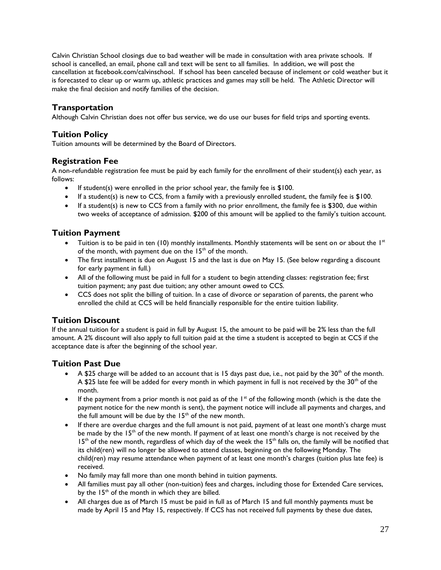Calvin Christian School closings due to bad weather will be made in consultation with area private schools. If school is cancelled, an email, phone call and text will be sent to all families. In addition, we will post the cancellation at facebook.com/calvinschool. If school has been canceled because of inclement or cold weather but it is forecasted to clear up or warm up, athletic practices and games may still be held. The Athletic Director will make the final decision and notify families of the decision.

# **Transportation**

Although Calvin Christian does not offer bus service, we do use our buses for field trips and sporting events.

# **Tuition Policy**

Tuition amounts will be determined by the Board of Directors.

# **Registration Fee**

A non-refundable registration fee must be paid by each family for the enrollment of their student(s) each year, as follows:

- If student(s) were enrolled in the prior school year, the family fee is \$100.
- If a student(s) is new to CCS, from a family with a previously enrolled student, the family fee is \$100.
- If a student(s) is new to CCS from a family with no prior enrollment, the family fee is \$300, due within two weeks of acceptance of admission. \$200 of this amount will be applied to the family's tuition account.

# **Tuition Payment**

- Tuition is to be paid in ten (10) monthly installments. Monthly statements will be sent on or about the  $1^{st}$ of the month, with payment due on the  $15<sup>th</sup>$  of the month.
- The first installment is due on August 15 and the last is due on May 15. (See below regarding a discount for early payment in full.)
- All of the following must be paid in full for a student to begin attending classes: registration fee; first tuition payment; any past due tuition; any other amount owed to CCS.
- CCS does not split the billing of tuition. In a case of divorce or separation of parents, the parent who enrolled the child at CCS will be held financially responsible for the entire tuition liability.

# **Tuition Discount**

If the annual tuition for a student is paid in full by August 15, the amount to be paid will be 2% less than the full amount. A 2% discount will also apply to full tuition paid at the time a student is accepted to begin at CCS if the acceptance date is after the beginning of the school year.

# **Tuition Past Due**

- A \$25 charge will be added to an account that is 15 days past due, i.e., not paid by the  $30<sup>th</sup>$  of the month. A \$25 late fee will be added for every month in which payment in full is not received by the  $30<sup>th</sup>$  of the month.
- If the payment from a prior month is not paid as of the  $1<sup>st</sup>$  of the following month (which is the date the payment notice for the new month is sent), the payment notice will include all payments and charges, and the full amount will be due by the 15<sup>th</sup> of the new month.
- If there are overdue charges and the full amount is not paid, payment of at least one month's charge must be made by the  $15<sup>th</sup>$  of the new month. If payment of at least one month's charge is not received by the  $15<sup>th</sup>$  of the new month, regardless of which day of the week the  $15<sup>th</sup>$  falls on, the family will be notified that its child(ren) will no longer be allowed to attend classes, beginning on the following Monday. The child(ren) may resume attendance when payment of at least one month's charges (tuition plus late fee) is received.
- No family may fall more than one month behind in tuition payments.
- All families must pay all other (non-tuition) fees and charges, including those for Extended Care services, by the  $15<sup>th</sup>$  of the month in which they are billed.
- All charges due as of March 15 must be paid in full as of March 15 and full monthly payments must be made by April 15 and May 15, respectively. If CCS has not received full payments by these due dates,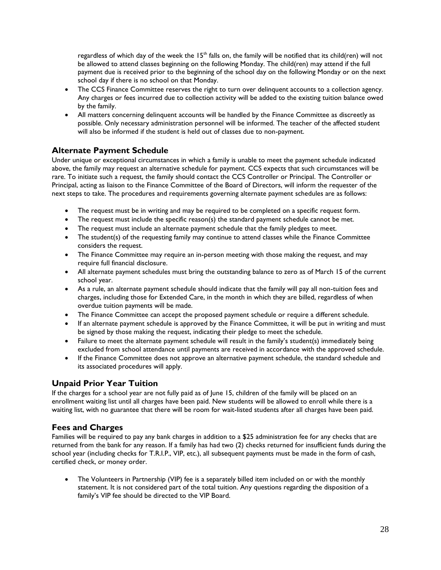regardless of which day of the week the  $15<sup>th</sup>$  falls on, the family will be notified that its child(ren) will not be allowed to attend classes beginning on the following Monday. The child(ren) may attend if the full payment due is received prior to the beginning of the school day on the following Monday or on the next school day if there is no school on that Monday.

- The CCS Finance Committee reserves the right to turn over delinquent accounts to a collection agency. Any charges or fees incurred due to collection activity will be added to the existing tuition balance owed by the family.
- All matters concerning delinquent accounts will be handled by the Finance Committee as discreetly as possible. Only necessary administration personnel will be informed. The teacher of the affected student will also be informed if the student is held out of classes due to non-payment.

# **Alternate Payment Schedule**

Under unique or exceptional circumstances in which a family is unable to meet the payment schedule indicated above, the family may request an alternative schedule for payment. CCS expects that such circumstances will be rare. To initiate such a request, the family should contact the CCS Controller or Principal. The Controller or Principal, acting as liaison to the Finance Committee of the Board of Directors, will inform the requester of the next steps to take. The procedures and requirements governing alternate payment schedules are as follows:

- The request must be in writing and may be required to be completed on a specific request form.
- The request must include the specific reason(s) the standard payment schedule cannot be met.
- The request must include an alternate payment schedule that the family pledges to meet.
- The student(s) of the requesting family may continue to attend classes while the Finance Committee considers the request.
- The Finance Committee may require an in-person meeting with those making the request, and may require full financial disclosure.
- All alternate payment schedules must bring the outstanding balance to zero as of March 15 of the current school year.
- As a rule, an alternate payment schedule should indicate that the family will pay all non-tuition fees and charges, including those for Extended Care, in the month in which they are billed, regardless of when overdue tuition payments will be made.
- The Finance Committee can accept the proposed payment schedule or require a different schedule.
- If an alternate payment schedule is approved by the Finance Committee, it will be put in writing and must be signed by those making the request, indicating their pledge to meet the schedule.
- Failure to meet the alternate payment schedule will result in the family's student(s) immediately being excluded from school attendance until payments are received in accordance with the approved schedule.
- If the Finance Committee does not approve an alternative payment schedule, the standard schedule and its associated procedures will apply.

# **Unpaid Prior Year Tuition**

If the charges for a school year are not fully paid as of June 15, children of the family will be placed on an enrollment waiting list until all charges have been paid. New students will be allowed to enroll while there is a waiting list, with no guarantee that there will be room for wait-listed students after all charges have been paid.

# **Fees and Charges**

Families will be required to pay any bank charges in addition to a \$25 administration fee for any checks that are returned from the bank for any reason. If a family has had two (2) checks returned for insufficient funds during the school year (including checks for T.R.I.P., VIP, etc.), all subsequent payments must be made in the form of cash, certified check, or money order.

• The Volunteers in Partnership (VIP) fee is a separately billed item included on or with the monthly statement. It is not considered part of the total tuition. Any questions regarding the disposition of a family's VIP fee should be directed to the VIP Board.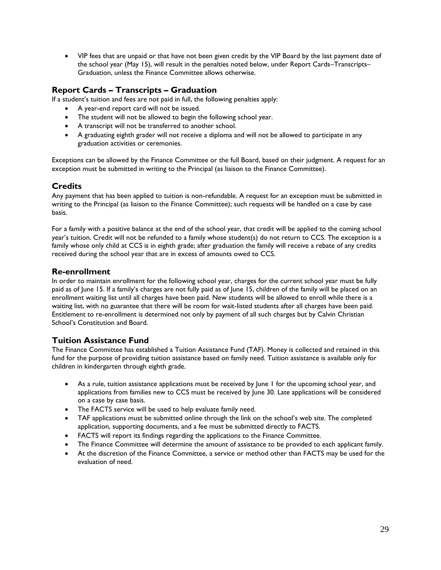VIP fees that are unpaid or that have not been given credit by the VIP Board by the last payment date of the school year (May 15), will result in the penalties noted below, under Report Cards–Transcripts– Graduation, unless the Finance Committee allows otherwise.

# **Report Cards – Transcripts – Graduation**

If a student's tuition and fees are not paid in full, the following penalties apply:

- A year-end report card will not be issued.
- The student will not be allowed to begin the following school year.
- A transcript will not be transferred to another school.
- A graduating eighth grader will not receive a diploma and will not be allowed to participate in any graduation activities or ceremonies.

Exceptions can be allowed by the Finance Committee or the full Board, based on their judgment. A request for an exception must be submitted in writing to the Principal (as liaison to the Finance Committee).

# **Credits**

Any payment that has been applied to tuition is non-refundable. A request for an exception must be submitted in writing to the Principal (as liaison to the Finance Committee); such requests will be handled on a case by case basis.

For a family with a positive balance at the end of the school year, that credit will be applied to the coming school year's tuition. Credit will not be refunded to a family whose student(s) do not return to CCS. The exception is a family whose only child at CCS is in eighth grade; after graduation the family will receive a rebate of any credits received during the school year that are in excess of amounts owed to CCS.

# **Re-enrollment**

In order to maintain enrollment for the following school year, charges for the current school year must be fully paid as of June 15. If a family's charges are not fully paid as of June 15, children of the family will be placed on an enrollment waiting list until all charges have been paid. New students will be allowed to enroll while there is a waiting list, with no guarantee that there will be room for wait-listed students after all charges have been paid. Entitlement to re-enrollment is determined not only by payment of all such charges but by Calvin Christian School's Constitution and Board.

# **Tuition Assistance Fund**

The Finance Committee has established a Tuition Assistance Fund (TAF). Money is collected and retained in this fund for the purpose of providing tuition assistance based on family need. Tuition assistance is available only for children in kindergarten through eighth grade.

- As a rule, tuition assistance applications must be received by June 1 for the upcoming school year, and applications from families new to CCS must be received by June 30. Late applications will be considered on a case by case basis.
- The FACTS service will be used to help evaluate family need.
- TAF applications must be submitted online through the link on the school's web site. The completed application, supporting documents, and a fee must be submitted directly to FACTS.
- FACTS will report its findings regarding the applications to the Finance Committee.
- The Finance Committee will determine the amount of assistance to be provided to each applicant family.
- At the discretion of the Finance Committee, a service or method other than FACTS may be used for the evaluation of need.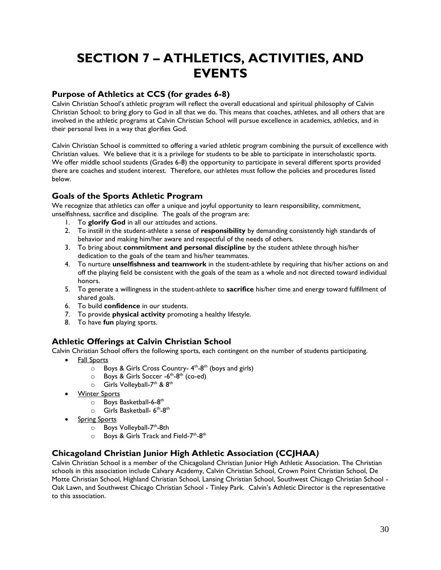# **SECTION 7 – ATHLETICS, ACTIVITIES, AND EVENTS**

# **Purpose of Athletics at CCS (for grades 6-8)**

Calvin Christian School's athletic program will reflect the overall educational and spiritual philosophy of Calvin Christian School: to bring glory to God in all that we do. This means that coaches, athletes, and all others that are involved in the athletic programs at Calvin Christian School will pursue excellence in academics, athletics, and in their personal lives in a way that glorifies God.

Calvin Christian School is committed to offering a varied athletic program combining the pursuit of excellence with Christian values. We believe that it is a privilege for students to be able to participate in interscholastic sports. We offer middle school students (Grades 6-8) the opportunity to participate in several different sports provided there are coaches and student interest. Therefore, our athletes must follow the policies and procedures listed below.

# **Goals of the Sports Athletic Program**

We recognize that athletics can offer a unique and joyful opportunity to learn responsibility, commitment, unselfishness, sacrifice and discipline. The goals of the program are:

- 1. To **glorify God** in all our attitudes and actions.
- 2. To instill in the student-athlete a sense of **responsibility** by demanding consistently high standards of behavior and making him/her aware and respectful of the needs of others.
- 3. To bring about **commitment and personal discipline** by the student athlete through his/her dedication to the goals of the team and his/her teammates.
- 4. To nurture **unselfishness and teamwork** in the student-athlete by requiring that his/her actions on and off the playing field be consistent with the goals of the team as a whole and not directed toward individual honors.
- 5. To generate a willingness in the student-athlete to **sacrifice** his/her time and energy toward fulfillment of shared goals.
- 6. To build **confidence** in our students.
- 7. To provide **physical activity** promoting a healthy lifestyle.
- 8. To have **fun** playing sports.

# **Athletic Offerings at Calvin Christian School**

Calvin Christian School offers the following sports, each contingent on the number of students participating.

- Fall Sports
	- $\circ$  Boys & Girls Cross Country- 4<sup>th</sup>-8<sup>th</sup> (boys and girls)
	- o Boys & Girls Soccer -6<sup>th</sup>-8<sup>th</sup> (co-ed)
	- $\circ$  Girls Volleyball-7<sup>th</sup> & 8<sup>th</sup>
- Winter Sports
	- 0 Boys Basketball-6-8<sup>th</sup>
	- $\circ$  Girls Basketball- 6<sup>th</sup>-8<sup>th</sup>
- Spring Sports
	- o Boys Volleyball-7<sup>th</sup>-8th
	- o Boys & Girls Track and Field-7<sup>th</sup>-8<sup>th</sup>

# **Chicagoland Christian Junior High Athletic Association (CCJHAA***)*

Calvin Christian School is a member of the Chicagoland Christian Junior High Athletic Association. The Christian schools in this association include Calvary Academy, Calvin Christian School, Crown Point Christian School, De Motte Christian School, Highland Christian School, Lansing Christian School, Southwest Chicago Christian School - Oak Lawn, and Southwest Chicago Christian School - Tinley Park. Calvin's Athletic Director is the representative to this association.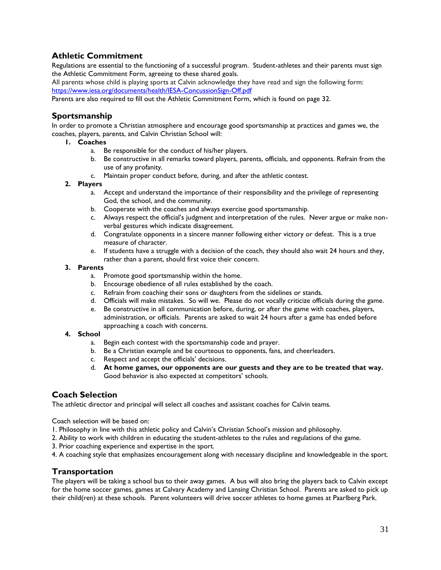# **Athletic Commitment**

Regulations are essential to the functioning of a successful program. Student-athletes and their parents must sign the Athletic Commitment Form, agreeing to these shared goals.

All parents whose child is playing sports at Calvin acknowledge they have read and sign the following form: <https://www.iesa.org/documents/health/IESA-ConcussionSign-Off.pdf>

Parents are also required to fill out the Athletic Commitment Form, which is found on page 32.

# **Sportsmanship**

In order to promote a Christian atmosphere and encourage good sportsmanship at practices and games we, the coaches, players, parents, and Calvin Christian School will:

- **1. Coaches**
	- a. Be responsible for the conduct of his/her players.
	- b. Be constructive in all remarks toward players, parents, officials, and opponents. Refrain from the use of any profanity.
	- c. Maintain proper conduct before, during, and after the athletic contest.

#### **2. Players**

- a. Accept and understand the importance of their responsibility and the privilege of representing God, the school, and the community.
- b. Cooperate with the coaches and always exercise good sportsmanship.
- c. Always respect the official's judgment and interpretation of the rules. Never argue or make nonverbal gestures which indicate disagreement.
- d. Congratulate opponents in a sincere manner following either victory or defeat. This is a true measure of character.
- e. If students have a struggle with a decision of the coach, they should also wait 24 hours and they, rather than a parent, should first voice their concern.

#### **3. Parents**

- a. Promote good sportsmanship within the home.
- b. Encourage obedience of all rules established by the coach.
- c. Refrain from coaching their sons or daughters from the sidelines or stands.
- d. Officials will make mistakes. So will we. Please do not vocally criticize officials during the game.
- e. Be constructive in all communication before, during, or after the game with coaches, players, administration, or officials. Parents are asked to wait 24 hours after a game has ended before approaching a coach with concerns.

#### **4. School**

- a. Begin each contest with the sportsmanship code and prayer.
- b. Be a Christian example and be courteous to opponents, fans, and cheerleaders.
- c. Respect and accept the officials' decisions.
- d. **At home games, our opponents are our guests and they are to be treated that way.** Good behavior is also expected at competitors' schools.

#### **Coach Selection**

The athletic director and principal will select all coaches and assistant coaches for Calvin teams.

Coach selection will be based on:

- 1. Philosophy in line with this athletic policy and Calvin's Christian School's mission and philosophy.
- 2. Ability to work with children in educating the student-athletes to the rules and regulations of the game.
- 3. Prior coaching experience and expertise in the sport.
- 4. A coaching style that emphasizes encouragement along with necessary discipline and knowledgeable in the sport.

# **Transportation**

The players will be taking a school bus to their away games. A bus will also bring the players back to Calvin except for the home soccer games, games at Calvary Academy and Lansing Christian School. Parents are asked to pick up their child(ren) at these schools. Parent volunteers will drive soccer athletes to home games at Paarlberg Park.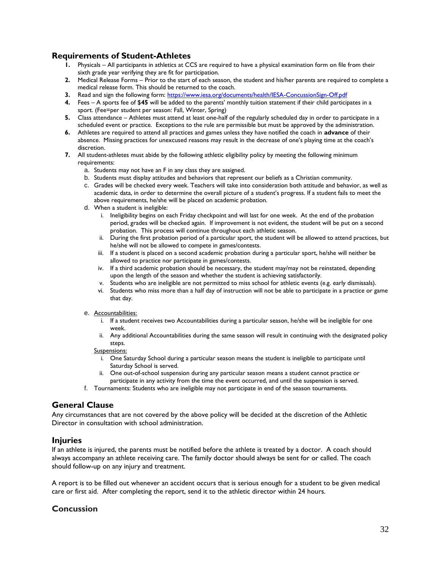# **Requirements of Student-Athletes**

- **1.** Physicals All participants in athletics at CCS are required to have a physical examination form on file from their sixth grade year verifying they are fit for participation.
- **2.** Medical Release Forms Prior to the start of each season, the student and his/her parents are required to complete a medical release form. This should be returned to the coach.
- **3.** Read and sign the following form:<https://www.iesa.org/documents/health/IESA-ConcussionSign-Off.pdf>
- **4.** Fees A sports fee of \$**45** will be added to the parents' monthly tuition statement if their child participates in a sport. (Fee=per student per season: Fall, Winter, Spring)
- **5.** Class attendance Athletes must attend at least one-half of the regularly scheduled day in order to participate in a scheduled event or practice. Exceptions to the rule are permissible but must be approved by the administration.
- **6.** Athletes are required to attend all practices and games unless they have notified the coach in **advance** of their absence. Missing practices for unexcused reasons may result in the decrease of one's playing time at the coach's discretion.
- **7.** All student-athletes must abide by the following athletic eligibility policy by meeting the following minimum requirements:
	- a. Students may not have an F in any class they are assigned.
	- b. Students must display attitudes and behaviors that represent our beliefs as a Christian community.
	- c. Grades will be checked every week. Teachers will take into consideration both attitude and behavior, as well as academic data, in order to determine the overall picture of a student's progress. If a student fails to meet the above requirements, he/she will be placed on academic probation.
	- d. When a student is ineligible:
		- i. Ineligibility begins on each Friday checkpoint and will last for one week. At the end of the probation period, grades will be checked again. If improvement is not evident, the student will be put on a second probation. This process will continue throughout each athletic season.
		- ii. During the first probation period of a particular sport, the student will be allowed to attend practices, but he/she will not be allowed to compete in games/contests.
		- iii. If a student is placed on a second academic probation during a particular sport, he/she will neither be allowed to practice nor participate in games/contests.
		- iv. If a third academic probation should be necessary, the student may/may not be reinstated, depending upon the length of the season and whether the student is achieving satisfactorily.
		- v. Students who are ineligible are not permitted to miss school for athletic events (e.g. early dismissals).
		- vi. Students who miss more than a half day of instruction will not be able to participate in a practice or game that day.
	- e. Accountabilities:
		- i. If a student receives two Accountabilities during a particular season, he/she will be ineligible for one week.
		- ii. Any additional Accountabilities during the same season will result in continuing with the designated policy steps.

#### Suspensions:

- i. One Saturday School during a particular season means the student is ineligible to participate until Saturday School is served.
- ii. One out-of-school suspension during any particular season means a student cannot practice or participate in any activity from the time the event occurred, and until the suspension is served.
- f. Tournaments: Students who are ineligible may not participate in end of the season tournaments.

#### **General Clause**

Any circumstances that are not covered by the above policy will be decided at the discretion of the Athletic Director in consultation with school administration.

#### **Injuries**

If an athlete is injured, the parents must be notified before the athlete is treated by a doctor. A coach should always accompany an athlete receiving care. The family doctor should always be sent for or called. The coach should follow-up on any injury and treatment.

A report is to be filled out whenever an accident occurs that is serious enough for a student to be given medical care or first aid. After completing the report, send it to the athletic director within 24 hours.

# **Concussion**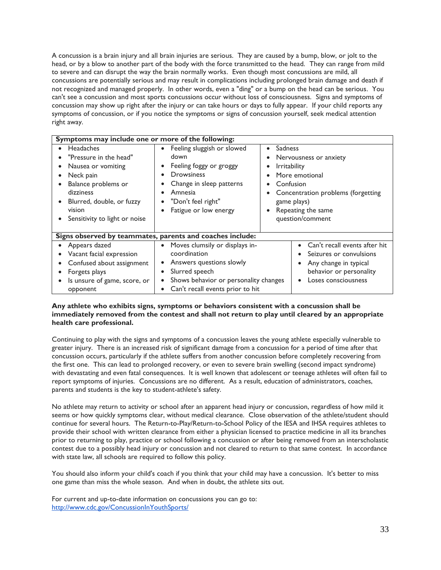A concussion is a brain injury and all brain injuries are serious. They are caused by a bump, blow, or jolt to the head, or by a blow to another part of the body with the force transmitted to the head. They can range from mild to severe and can disrupt the way the brain normally works. Even though most concussions are mild, all concussions are potentially serious and may result in complications including prolonged brain damage and death if not recognized and managed properly. In other words, even a "ding" or a bump on the head can be serious. You can't see a concussion and most sports concussions occur without loss of consciousness. Signs and symptoms of concussion may show up right after the injury or can take hours or days to fully appear. If your child reports any symptoms of concussion, or if you notice the symptoms or signs of concussion yourself, seek medical attention right away.

| Symptoms may include one or more of the following:                                                                                                                                        |                                                                                                                                                                                                                                                |                                                                                                                                                                                        |  |  |
|-------------------------------------------------------------------------------------------------------------------------------------------------------------------------------------------|------------------------------------------------------------------------------------------------------------------------------------------------------------------------------------------------------------------------------------------------|----------------------------------------------------------------------------------------------------------------------------------------------------------------------------------------|--|--|
| <b>Headaches</b><br>"Pressure in the head"<br>Nausea or vomiting<br>Neck pain<br>Balance problems or<br>dizziness<br>Blurred, double, or fuzzy<br>vision<br>Sensitivity to light or noise | Feeling sluggish or slowed<br>$\bullet$<br>$\bullet$<br>down<br>$\bullet$<br>Feeling foggy or groggy<br>$\bullet$<br><b>Drowsiness</b><br>Change in sleep patterns<br>٠<br>Amnesia<br>"Don't feel right"<br>$\bullet$<br>Fatigue or low energy | Sadness<br>Nervousness or anxiety<br><i>Irritability</i><br>More emotional<br>Confusion<br>Concentration problems (forgetting<br>game plays)<br>Repeating the same<br>question/comment |  |  |
|                                                                                                                                                                                           | Signs observed by teammates, parents and coaches include:                                                                                                                                                                                      |                                                                                                                                                                                        |  |  |
| Appears dazed<br>Vacant facial expression<br>Confused about assignment<br>Forgets plays<br>Is unsure of game, score, or<br>opponent                                                       | Moves clumsily or displays in-<br>coordination<br>Answers questions slowly<br>Slurred speech<br>$\bullet$<br>Shows behavior or personality changes<br>Can't recall events prior to hit                                                         | Can't recall events after hit<br>Seizures or convulsions<br>Any change in typical<br>behavior or personality<br>Loses consciousness                                                    |  |  |

#### **Any athlete who exhibits signs, symptoms or behaviors consistent with a concussion shall be immediately removed from the contest and shall not return to play until cleared by an appropriate health care professional.**

Continuing to play with the signs and symptoms of a concussion leaves the young athlete especially vulnerable to greater injury. There is an increased risk of significant damage from a concussion for a period of time after that concussion occurs, particularly if the athlete suffers from another concussion before completely recovering from the first one. This can lead to prolonged recovery, or even to severe brain swelling (second impact syndrome) with devastating and even fatal consequences. It is well known that adolescent or teenage athletes will often fail to report symptoms of injuries. Concussions are no different. As a result, education of administrators, coaches, parents and students is the key to student-athlete's safety.

No athlete may return to activity or school after an apparent head injury or concussion, regardless of how mild it seems or how quickly symptoms clear, without medical clearance. Close observation of the athlete/student should continue for several hours. The Return-to-Play/Return-to-School Policy of the IESA and IHSA requires athletes to provide their school with written clearance from either a physician licensed to practice medicine in all its branches prior to returning to play, practice or school following a concussion or after being removed from an interscholastic contest due to a possibly head injury or concussion and not cleared to return to that same contest. In accordance with state law, all schools are required to follow this policy.

You should also inform your child's coach if you think that your child may have a concussion. It's better to miss one game than miss the whole season. And when in doubt, the athlete sits out.

For current and up-to-date information on concussions you can go to: <http://www.cdc.gov/ConcussionInYouthSports/>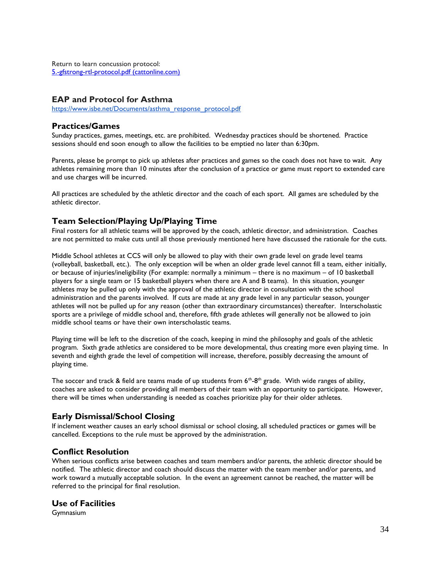Return to learn concussion protocol: [5.-gfstrong-rtl-protocol.pdf \(cattonline.com\)](https://cattonline.com/wp-content/uploads/2017/10/5.-gfstrong-rtl-protocol.pdf)

# **EAP and Protocol for Asthma**

[https://www.isbe.net/Documents/asthma\\_response\\_protocol.pdf](https://www.isbe.net/Documents/asthma_response_protocol.pdf)

# **Practices/Games**

Sunday practices, games, meetings, etc. are prohibited. Wednesday practices should be shortened. Practice sessions should end soon enough to allow the facilities to be emptied no later than 6:30pm.

Parents, please be prompt to pick up athletes after practices and games so the coach does not have to wait. Any athletes remaining more than 10 minutes after the conclusion of a practice or game must report to extended care and use charges will be incurred.

All practices are scheduled by the athletic director and the coach of each sport. All games are scheduled by the athletic director.

# **Team Selection/Playing Up/Playing Time**

Final rosters for all athletic teams will be approved by the coach, athletic director, and administration. Coaches are not permitted to make cuts until all those previously mentioned here have discussed the rationale for the cuts.

Middle School athletes at CCS will only be allowed to play with their own grade level on grade level teams (volleyball, basketball, etc.). The only exception will be when an older grade level cannot fill a team, either initially, or because of injuries/ineligibility (For example: normally a minimum – there is no maximum – of 10 basketball players for a single team or 15 basketball players when there are A and B teams). In this situation, younger athletes may be pulled up only with the approval of the athletic director in consultation with the school administration and the parents involved. If cuts are made at any grade level in any particular season, younger athletes will not be pulled up for any reason (other than extraordinary circumstances) thereafter. Interscholastic sports are a privilege of middle school and, therefore, fifth grade athletes will generally not be allowed to join middle school teams or have their own interscholastic teams.

Playing time will be left to the discretion of the coach, keeping in mind the philosophy and goals of the athletic program. Sixth grade athletics are considered to be more developmental, thus creating more even playing time. In seventh and eighth grade the level of competition will increase, therefore, possibly decreasing the amount of playing time.

The soccer and track & field are teams made of up students from  $6<sup>th</sup>$ -8<sup>th</sup> grade. With wide ranges of ability, coaches are asked to consider providing all members of their team with an opportunity to participate. However, there will be times when understanding is needed as coaches prioritize play for their older athletes.

# **Early Dismissal/School Closing**

If inclement weather causes an early school dismissal or school closing, all scheduled practices or games will be cancelled. Exceptions to the rule must be approved by the administration.

# **Conflict Resolution**

When serious conflicts arise between coaches and team members and/or parents, the athletic director should be notified. The athletic director and coach should discuss the matter with the team member and/or parents, and work toward a mutually acceptable solution. In the event an agreement cannot be reached, the matter will be referred to the principal for final resolution.

#### **Use of Facilities**

Gymnasium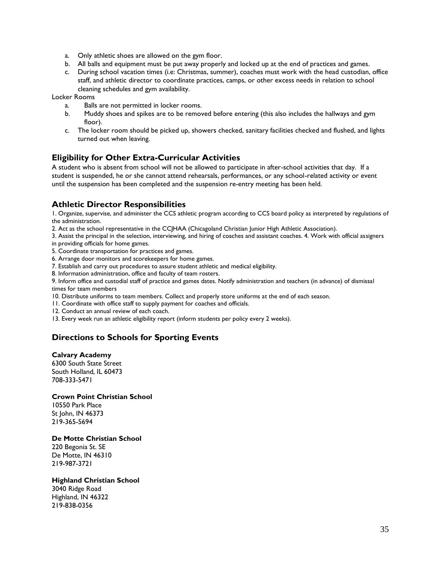- a. Only athletic shoes are allowed on the gym floor.
- b. All balls and equipment must be put away properly and locked up at the end of practices and games.
- c. During school vacation times (i.e: Christmas, summer), coaches must work with the head custodian, office staff, and athletic director to coordinate practices, camps, or other excess needs in relation to school cleaning schedules and gym availability.

Locker Rooms

- a. Balls are not permitted in locker rooms.
- b. Muddy shoes and spikes are to be removed before entering (this also includes the hallways and gym floor).
- c. The locker room should be picked up, showers checked, sanitary facilities checked and flushed, and lights turned out when leaving.

# **Eligibility for Other Extra-Curricular Activities**

A student who is absent from school will not be allowed to participate in after-school activities that day. If a student is suspended, he or she cannot attend rehearsals, performances, or any school-related activity or event until the suspension has been completed and the suspension re-entry meeting has been held.

# **Athletic Director Responsibilities**

1. Organize, supervise, and administer the CCS athletic program according to CCS board policy as interpreted by regulations of the administration.

2. Act as the school representative in the CCJHAA (Chicagoland Christian Junior High Athletic Association).

3. Assist the principal in the selection, interviewing, and hiring of coaches and assistant coaches. 4. Work with official assigners

in providing officials for home games.

5. Coordinate transportation for practices and games.

6. Arrange door monitors and scorekeepers for home games.

7. Establish and carry out procedures to assure student athletic and medical eligibility.

8. Information administration, office and faculty of team rosters.

9. Inform office and custodial staff of practice and games dates. Notify administration and teachers (in advance) of dismissal times for team members

10. Distribute uniforms to team members. Collect and properly store uniforms at the end of each season.

11. Coordinate with office staff to supply payment for coaches and officials.

12. Conduct an annual review of each coach.

13. Every week run an athletic eligibility report (inform students per policy every 2 weeks).

# **Directions to Schools for Sporting Events**

#### **Calvary Academy**

6300 South State Street South Holland, IL 60473 708-333-5471

#### **Crown Point Christian School**

10550 Park Place St John, IN 46373 219-365-5694

#### **De Motte Christian School**

220 Begonia St. SE De Motte, IN 46310 219-987-3721

#### **Highland Christian School**

3040 Ridge Road Highland, IN 46322 219-838-0356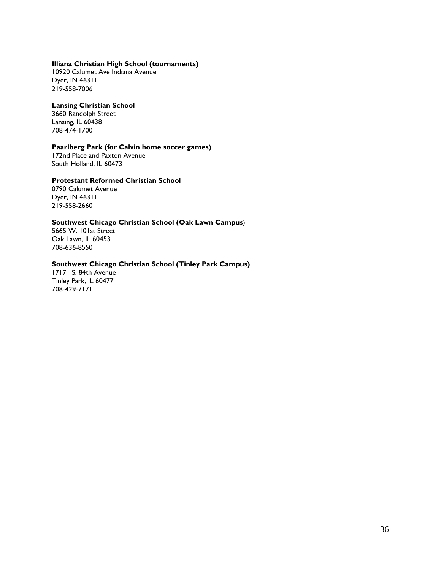#### **Illiana Christian High School (tournaments)**

10920 Calumet Ave Indiana Avenue Dyer, IN 46311 219-558-7006

#### **Lansing Christian School**

3660 Randolph Street Lansing, IL 60438 708-474-1700

#### **Paarlberg Park (for Calvin home soccer games)**

172nd Place and Paxton Avenue South Holland, IL 60473

#### **Protestant Reformed Christian School**

0790 Calumet Avenue Dyer, IN 46311 219-558-2660

#### **Southwest Chicago Christian School (Oak Lawn Campus**)

5665 W. 101st Street Oak Lawn, IL 60453 708-636-8550

#### **Southwest Chicago Christian School (Tinley Park Campus)**

17171 S. 84th Avenue Tinley Park, IL 60477 708-429-7171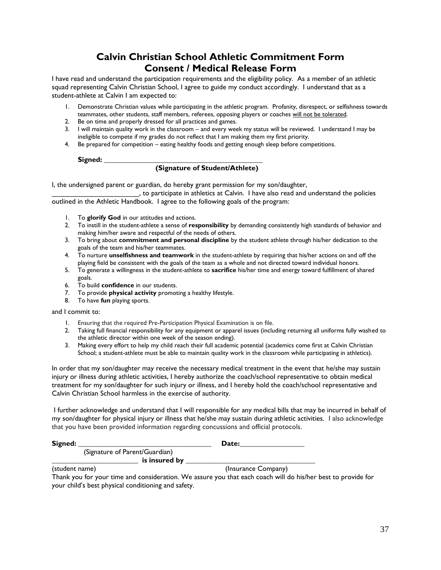# **Calvin Christian School Athletic Commitment Form Consent / Medical Release Form**

I have read and understand the participation requirements and the eligibility policy. As a member of an athletic squad representing Calvin Christian School, I agree to guide my conduct accordingly. I understand that as a student-athlete at Calvin I am expected to:

- 1. Demonstrate Christian values while participating in the athletic program. Profanity, disrespect, or selfishness towards teammates, other students, staff members, referees, opposing players or coaches will not be tolerated.
- 2. Be on time and properly dressed for all practices and games.
- 3. I will maintain quality work in the classroom and every week my status will be reviewed. I understand I may be ineligible to compete if my grades do not reflect that I am making them my first priority.
- 4. Be prepared for competition eating healthy foods and getting enough sleep before competitions.

 ${\sf Singlemed:}$ 

#### **(Signature of Student/Athlete)**

I, the undersigned parent or guardian, do hereby grant permission for my son/daughter,

\_\_\_\_\_\_\_\_\_\_\_\_\_\_\_\_\_\_\_\_\_\_, to participate in athletics at Calvin. I have also read and understand the policies outlined in the Athletic Handbook. I agree to the following goals of the program:

- 1. To **glorify God** in our attitudes and actions.
- 2. To instill in the student-athlete a sense of **responsibility** by demanding consistently high standards of behavior and making him/her aware and respectful of the needs of others.
- 3. To bring about **commitment and personal discipline** by the student athlete through his/her dedication to the goals of the team and his/her teammates.
- 4. To nurture **unselfishness and teamwork** in the student-athlete by requiring that his/her actions on and off the playing field be consistent with the goals of the team as a whole and not directed toward individual honors.
- 5. To generate a willingness in the student-athlete to **sacrifice** his/her time and energy toward fulfillment of shared goals.
- 6. To build **confidence** in our students.
- 7. To provide **physical activity** promoting a healthy lifestyle.
- 8. To have **fun** playing sports.

and I commit to:

- 1. Ensuring that the required Pre-Participation Physical Examination is on file.
- 2. Taking full financial responsibility for any equipment or apparel issues (including returning all uniforms fully washed to the athletic director within one week of the season ending).
- 3. Making every effort to help my child reach their full academic potential (academics come first at Calvin Christian School; a student-athlete must be able to maintain quality work in the classroom while participating in athletics).

In order that my son/daughter may receive the necessary medical treatment in the event that he/she may sustain injury or illness during athletic activities, I hereby authorize the coach/school representative to obtain medical treatment for my son/daughter for such injury or illness, and I hereby hold the coach/school representative and Calvin Christian School harmless in the exercise of authority.

I further acknowledge and understand that I will responsible for any medical bills that may be incurred in behalf of my son/daughter for physical injury or illness that he/she may sustain during athletic activities. I also acknowledge that you have been provided information regarding concussions and official protocols.

| igne. |  |
|-------|--|
|-------|--|

**Signed: \_\_\_\_\_\_\_\_\_\_\_\_\_\_\_\_\_\_\_\_\_\_\_\_\_\_\_\_\_\_\_\_\_\_\_\_\_ Date:\_\_\_\_\_\_\_\_\_\_\_\_\_\_\_\_\_\_**

 (Signature of Parent/Guardian) **\_\_\_\_\_\_\_\_\_\_\_\_\_\_\_\_\_\_\_\_\_\_\_\_ is insured by \_\_\_\_\_\_\_\_\_\_\_\_\_\_\_\_\_\_\_\_\_\_\_\_\_\_\_\_\_\_\_\_\_\_\_\_**

(student name) (Insurance Company)

Thank you for your time and consideration. We assure you that each coach will do his/her best to provide for your child's best physical conditioning and safety.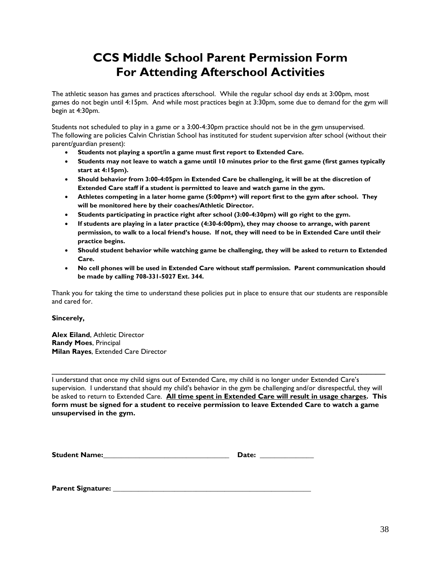# **CCS Middle School Parent Permission Form For Attending Afterschool Activities**

The athletic season has games and practices afterschool. While the regular school day ends at 3:00pm, most games do not begin until 4:15pm. And while most practices begin at 3:30pm, some due to demand for the gym will begin at 4:30pm.

Students not scheduled to play in a game or a 3:00-4:30pm practice should not be in the gym unsupervised. The following are policies Calvin Christian School has instituted for student supervision after school (without their parent/guardian present):

- **Students not playing a sport/in a game must first report to Extended Care.**
- **Students may not leave to watch a game until 10 minutes prior to the first game (first games typically start at 4:15pm).**
- **Should behavior from 3:00-4:05pm in Extended Care be challenging, it will be at the discretion of Extended Care staff if a student is permitted to leave and watch game in the gym.**
- **Athletes competing in a later home game (5:00pm+) will report first to the gym after school. They will be monitored here by their coaches/Athletic Director.**
- **Students participating in practice right after school (3:00-4:30pm) will go right to the gym.**
- **If students are playing in a later practice (4:30-6:00pm), they may choose to arrange, with parent permission, to walk to a local friend's house. If not, they will need to be in Extended Care until their practice begins.**
- **Should student behavior while watching game be challenging, they will be asked to return to Extended Care.**
- **No cell phones will be used in Extended Care without staff permission. Parent communication should be made by calling 708-331-5027 Ext. 344.**

Thank you for taking the time to understand these policies put in place to ensure that our students are responsible and cared for.

#### **Sincerely,**

**Alex Eiland**, Athletic Director **Randy Moes**, Principal **Milan Rayes**, Extended Care Director

I understand that once my child signs out of Extended Care, my child is no longer under Extended Care's supervision. I understand that should my child's behavior in the gym be challenging and/or disrespectful, they will be asked to return to Extended Care. **All time spent in Extended Care will result in usage charges. This form must be signed for a student to receive permission to leave Extended Care to watch a game unsupervised in the gym.**

 $\mathcal{L}_\mathcal{L} = \{ \mathcal{L}_\mathcal{L} = \{ \mathcal{L}_\mathcal{L} = \{ \mathcal{L}_\mathcal{L} = \{ \mathcal{L}_\mathcal{L} = \{ \mathcal{L}_\mathcal{L} = \{ \mathcal{L}_\mathcal{L} = \{ \mathcal{L}_\mathcal{L} = \{ \mathcal{L}_\mathcal{L} = \{ \mathcal{L}_\mathcal{L} = \{ \mathcal{L}_\mathcal{L} = \{ \mathcal{L}_\mathcal{L} = \{ \mathcal{L}_\mathcal{L} = \{ \mathcal{L}_\mathcal{L} = \{ \mathcal{L}_\mathcal{$ 

| <b>Student Name:</b> | <b>Date:</b> |
|----------------------|--------------|
|                      |              |

**Parent Signature:**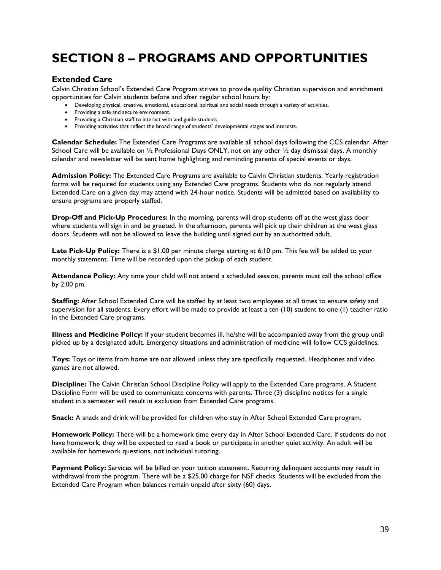# **SECTION 8 – PROGRAMS AND OPPORTUNITIES**

# **Extended Care**

Calvin Christian School's Extended Care Program strives to provide quality Christian supervision and enrichment opportunities for Calvin students before and after regular school hours by:

- Developing physical, creative, emotional, educational, spiritual and social needs through a variety of activities.
- Providing a safe and secure environment.
- Providing a Christian staff to interact with and guide students.
- Providing activities that reflect the broad range of students' developmental stages and interests.

**Calendar Schedule:** The Extended Care Programs are available all school days following the CCS calendar. After School Care will be available on 1/2 Professional Days ONLY, not on any other 1/2 day dismissal days. A monthly calendar and newsletter will be sent home highlighting and reminding parents of special events or days.

**Admission Policy:** The Extended Care Programs are available to Calvin Christian students. Yearly registration forms will be required for students using any Extended Care programs. Students who do not regularly attend Extended Care on a given day may attend with 24-hour notice. Students will be admitted based on availability to ensure programs are properly staffed.

**Drop-Off and Pick-Up Procedures:** In the morning, parents will drop students off at the west glass door where students will sign in and be greeted. In the afternoon, parents will pick up their children at the west glass doors. Students will not be allowed to leave the building until signed out by an authorized adult.

**Late Pick-Up Policy:** There is a \$1.00 per minute charge starting at 6:10 pm. This fee will be added to your monthly statement. Time will be recorded upon the pickup of each student.

**Attendance Policy:** Any time your child will not attend a scheduled session, parents must call the school office by 2:00 pm.

**Staffing:** After School Extended Care will be staffed by at least two employees at all times to ensure safety and supervision for all students. Every effort will be made to provide at least a ten (10) student to one (1) teacher ratio in the Extended Care programs.

**Illness and Medicine Policy:** If your student becomes ill, he/she will be accompanied away from the group until picked up by a designated adult. Emergency situations and administration of medicine will follow CCS guidelines.

**Toys:** Toys or items from home are not allowed unless they are specifically requested. Headphones and video games are not allowed.

**Discipline:** The Calvin Christian School Discipline Policy will apply to the Extended Care programs. A Student Discipline Form will be used to communicate concerns with parents. Three (3) discipline notices for a single student in a semester will result in exclusion from Extended Care programs.

**Snack:** A snack and drink will be provided for children who stay in After School Extended Care program.

**Homework Policy:** There will be a homework time every day in After School Extended Care. If students do not have homework, they will be expected to read a book or participate in another quiet activity. An adult will be available for homework questions, not individual tutoring.

**Payment Policy:** Services will be billed on your tuition statement. Recurring delinquent accounts may result in withdrawal from the program. There will be a \$25.00 charge for NSF checks. Students will be excluded from the Extended Care Program when balances remain unpaid after sixty (60) days.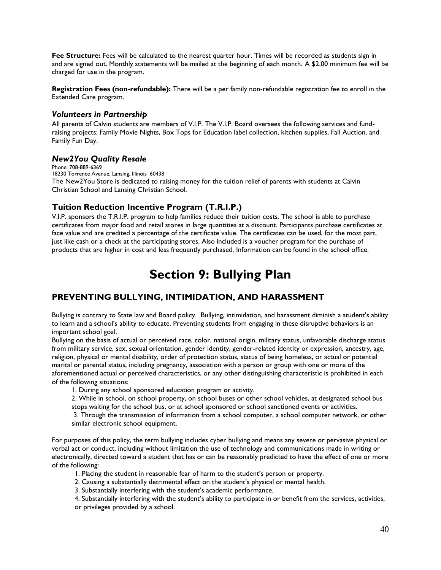**Fee Structure:** Fees will be calculated to the nearest quarter hour. Times will be recorded as students sign in and are signed out. Monthly statements will be mailed at the beginning of each month. A \$2.00 minimum fee will be charged for use in the program.

**Registration Fees (non-refundable):** There will be a per family non-refundable registration fee to enroll in the Extended Care program.

### *Volunteers in Partnership*

All parents of Calvin students are members of V.I.P. The V.I.P. Board oversees the following services and fundraising projects: Family Movie Nights, Box Tops for Education label collection, kitchen supplies, Fall Auction, and Family Fun Day.

# *New2You Quality Resale*

Phone: 708-889-6369 18230 Torrence Avenue, Lansing, Illinois 60438 The New2You Store is dedicated to raising money for the tuition relief of parents with students at Calvin Christian School and Lansing Christian School.

# **Tuition Reduction Incentive Program (T.R.I.P.)**

V.I.P. sponsors the T.R.I.P. program to help families reduce their tuition costs. The school is able to purchase certificates from major food and retail stores in large quantities at a discount. Participants purchase certificates at face value and are credited a percentage of the certificate value. The certificates can be used, for the most part, just like cash or a check at the participating stores. Also included is a voucher program for the purchase of products that are higher in cost and less frequently purchased. Information can be found in the school office.

# **Section 9: Bullying Plan**

# **PREVENTING BULLYING, INTIMIDATION, AND HARASSMENT**

Bullying is contrary to State law and Board policy. Bullying, intimidation, and harassment diminish a student's ability to learn and a school's ability to educate. Preventing students from engaging in these disruptive behaviors is an important school goal.

Bullying on the basis of actual or perceived race, color, national origin, military status, unfavorable discharge status from military service, sex, sexual orientation, gender identity, gender-related identity or expression, ancestry, age, religion, physical or mental disability, order of protection status, status of being homeless, or actual or potential marital or parental status, including pregnancy, association with a person or group with one or more of the aforementioned actual or perceived characteristics, or any other distinguishing characteristic is prohibited in each of the following situations:

1. During any school sponsored education program or activity.

2. While in school, on school property, on school buses or other school vehicles, at designated school bus stops waiting for the school bus, or at school sponsored or school sanctioned events or activities.

3. Through the transmission of information from a school computer, a school computer network, or other similar electronic school equipment.

For purposes of this policy, the term bullying includes cyber bullying and means any severe or pervasive physical or verbal act or conduct, including without limitation the use of technology and communications made in writing or electronically, directed toward a student that has or can be reasonably predicted to have the effect of one or more of the following:

1. Placing the student in reasonable fear of harm to the student's person or property.

2. Causing a substantially detrimental effect on the student's physical or mental health.

3. Substantially interfering with the student's academic performance.

4. Substantially interfering with the student's ability to participate in or benefit from the services, activities, or privileges provided by a school.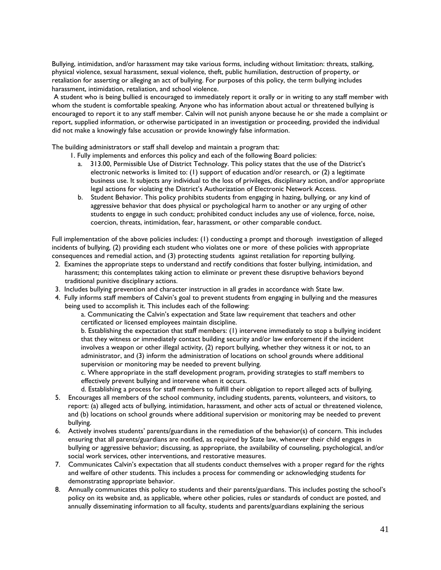Bullying, intimidation, and/or harassment may take various forms, including without limitation: threats, stalking, physical violence, sexual harassment, sexual violence, theft, public humiliation, destruction of property, or retaliation for asserting or alleging an act of bullying. For purposes of this policy, the term bullying includes harassment, intimidation, retaliation, and school violence.

A student who is being bullied is encouraged to immediately report it orally or in writing to any staff member with whom the student is comfortable speaking. Anyone who has information about actual or threatened bullying is encouraged to report it to any staff member. Calvin will not punish anyone because he or she made a complaint or report, supplied information, or otherwise participated in an investigation or proceeding, provided the individual did not make a knowingly false accusation or provide knowingly false information.

The building administrators or staff shall develop and maintain a program that:

1. Fully implements and enforces this policy and each of the following Board policies:

- a. 313.00, Permissible Use of District Technology. This policy states that the use of the District's electronic networks is limited to: (1) support of education and/or research, or (2) a legitimate business use. It subjects any individual to the loss of privileges, disciplinary action, and/or appropriate legal actions for violating the District's Authorization of Electronic Network Access.
- b. Student Behavior. This policy prohibits students from engaging in hazing, bullying, or any kind of aggressive behavior that does physical or psychological harm to another or any urging of other students to engage in such conduct; prohibited conduct includes any use of violence, force, noise, coercion, threats, intimidation, fear, harassment, or other comparable conduct.

Full implementation of the above policies includes: (1) conducting a prompt and thorough investigation of alleged incidents of bullying, (2) providing each student who violates one or more of these policies with appropriate consequences and remedial action, and (3) protecting students against retaliation for reporting bullying.

- 2. Examines the appropriate steps to understand and rectify conditions that foster bullying, intimidation, and harassment; this contemplates taking action to eliminate or prevent these disruptive behaviors beyond traditional punitive disciplinary actions.
- 3. Includes bullying prevention and character instruction in all grades in accordance with State law.
- 4. Fully informs staff members of Calvin's goal to prevent students from engaging in bullying and the measures being used to accomplish it. This includes each of the following:

a. Communicating the Calvin's expectation and State law requirement that teachers and other certificated or licensed employees maintain discipline.

b. Establishing the expectation that staff members: (1) intervene immediately to stop a bullying incident that they witness or immediately contact building security and/or law enforcement if the incident involves a weapon or other illegal activity, (2) report bullying, whether they witness it or not, to an administrator, and (3) inform the administration of locations on school grounds where additional supervision or monitoring may be needed to prevent bullying.

c. Where appropriate in the staff development program, providing strategies to staff members to effectively prevent bullying and intervene when it occurs.

d. Establishing a process for staff members to fulfill their obligation to report alleged acts of bullying.

- 5. Encourages all members of the school community, including students, parents, volunteers, and visitors, to report: (a) alleged acts of bullying, intimidation, harassment, and other acts of actual or threatened violence, and (b) locations on school grounds where additional supervision or monitoring may be needed to prevent bullying.
- 6. Actively involves students' parents/guardians in the remediation of the behavior(s) of concern. This includes ensuring that all parents/guardians are notified, as required by State law, whenever their child engages in bullying or aggressive behavior; discussing, as appropriate, the availability of counseling, psychological, and/or social work services, other interventions, and restorative measures.
- 7. Communicates Calvin's expectation that all students conduct themselves with a proper regard for the rights and welfare of other students. This includes a process for commending or acknowledging students for demonstrating appropriate behavior.
- 8. Annually communicates this policy to students and their parents/guardians. This includes posting the school's policy on its website and, as applicable, where other policies, rules or standards of conduct are posted, and annually disseminating information to all faculty, students and parents/guardians explaining the serious